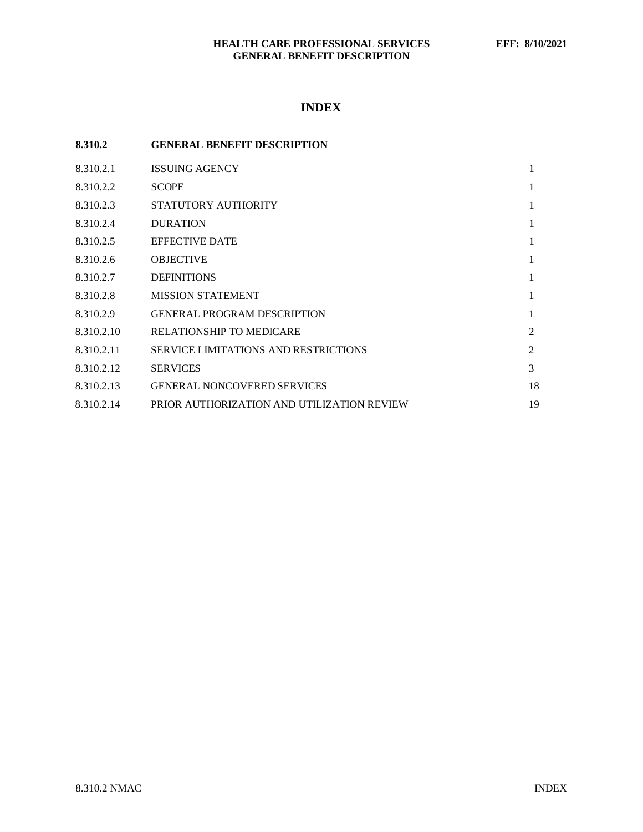# **INDEX**

| 8.310.2    | <b>GENERAL BENEFIT DESCRIPTION</b>          |    |
|------------|---------------------------------------------|----|
| 8.310.2.1  | <b>ISSUING AGENCY</b>                       | 1  |
| 8.310.2.2  | <b>SCOPE</b>                                | 1  |
| 8.310.2.3  | STATUTORY AUTHORITY                         | 1  |
| 8.310.2.4  | <b>DURATION</b>                             | 1  |
| 8.310.2.5  | <b>EFFECTIVE DATE</b>                       | 1  |
| 8.310.2.6  | <b>OBJECTIVE</b>                            | 1  |
| 8.310.2.7  | <b>DEFINITIONS</b>                          | 1  |
| 8.310.2.8  | <b>MISSION STATEMENT</b>                    | 1  |
| 8.310.2.9  | <b>GENERAL PROGRAM DESCRIPTION</b>          | 1  |
| 8.310.2.10 | <b>RELATIONSHIP TO MEDICARE</b>             | 2  |
| 8.310.2.11 | <b>SERVICE LIMITATIONS AND RESTRICTIONS</b> | 2  |
| 8.310.2.12 | <b>SERVICES</b>                             | 3  |
| 8.310.2.13 | <b>GENERAL NONCOVERED SERVICES</b>          | 18 |
| 8.310.2.14 | PRIOR AUTHORIZATION AND UTILIZATION REVIEW  | 19 |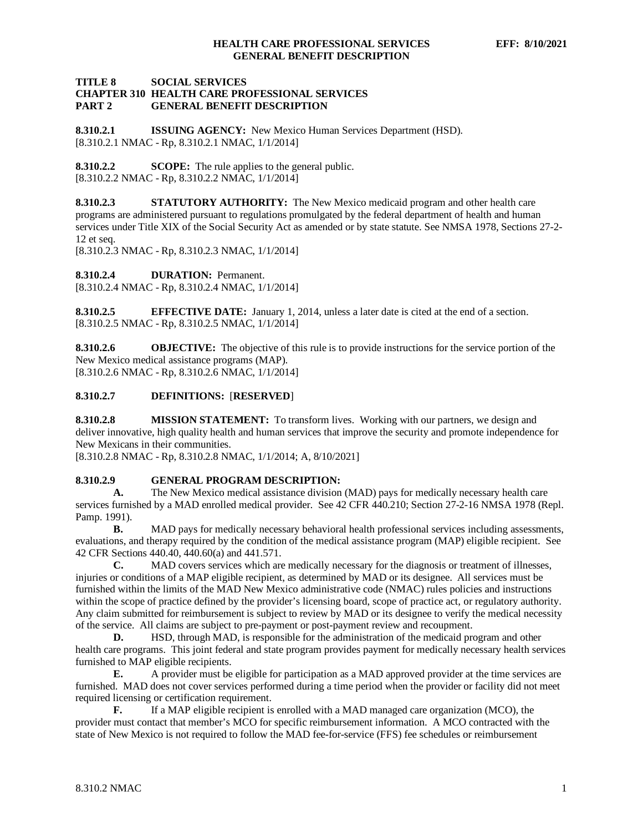# **TITLE 8 SOCIAL SERVICES CHAPTER 310 HEALTH CARE PROFESSIONAL SERVICES GENERAL BENEFIT DESCRIPTION**

<span id="page-1-0"></span>**8.310.2.1 ISSUING AGENCY:** New Mexico Human Services Department (HSD). [8.310.2.1 NMAC - Rp, 8.310.2.1 NMAC, 1/1/2014]

<span id="page-1-1"></span>**8.310.2.2 SCOPE:** The rule applies to the general public. [8.310.2.2 NMAC - Rp, 8.310.2.2 NMAC, 1/1/2014]

<span id="page-1-2"></span>**8.310.2.3 STATUTORY AUTHORITY:** The New Mexico medicaid program and other health care programs are administered pursuant to regulations promulgated by the federal department of health and human services under Title XIX of the Social Security Act as amended or by state statute. See NMSA 1978, Sections 27-2- 12 et seq.

[8.310.2.3 NMAC - Rp, 8.310.2.3 NMAC, 1/1/2014]

<span id="page-1-3"></span>**8.310.2.4 DURATION:** Permanent.

[8.310.2.4 NMAC - Rp, 8.310.2.4 NMAC, 1/1/2014]

<span id="page-1-4"></span>**8.310.2.5 EFFECTIVE DATE:** January 1, 2014, unless a later date is cited at the end of a section. [8.310.2.5 NMAC - Rp, 8.310.2.5 NMAC, 1/1/2014]

<span id="page-1-5"></span>**8.310.2.6 OBJECTIVE:** The objective of this rule is to provide instructions for the service portion of the New Mexico medical assistance programs (MAP). [8.310.2.6 NMAC - Rp, 8.310.2.6 NMAC, 1/1/2014]

# <span id="page-1-6"></span>**8.310.2.7 DEFINITIONS:** [**RESERVED**]

<span id="page-1-7"></span>**8.310.2.8 MISSION STATEMENT:** To transform lives. Working with our partners, we design and deliver innovative, high quality health and human services that improve the security and promote independence for New Mexicans in their communities.

[8.310.2.8 NMAC - Rp, 8.310.2.8 NMAC, 1/1/2014; A, 8/10/2021]

### <span id="page-1-8"></span>**8.310.2.9 GENERAL PROGRAM DESCRIPTION:**

**A.** The New Mexico medical assistance division (MAD) pays for medically necessary health care services furnished by a MAD enrolled medical provider. See 42 CFR 440.210; Section 27-2-16 NMSA 1978 (Repl. Pamp. 1991).

**B.** MAD pays for medically necessary behavioral health professional services including assessments, evaluations, and therapy required by the condition of the medical assistance program (MAP) eligible recipient. See 42 CFR Sections 440.40, 440.60(a) and 441.571.

**C.** MAD covers services which are medically necessary for the diagnosis or treatment of illnesses, injuries or conditions of a MAP eligible recipient, as determined by MAD or its designee. All services must be furnished within the limits of the MAD New Mexico administrative code (NMAC) rules policies and instructions within the scope of practice defined by the provider's licensing board, scope of practice act, or regulatory authority. Any claim submitted for reimbursement is subject to review by MAD or its designee to verify the medical necessity of the service. All claims are subject to pre-payment or post-payment review and recoupment.

**D.** HSD, through MAD, is responsible for the administration of the medicaid program and other health care programs. This joint federal and state program provides payment for medically necessary health services furnished to MAP eligible recipients.

**E.** A provider must be eligible for participation as a MAD approved provider at the time services are furnished. MAD does not cover services performed during a time period when the provider or facility did not meet required licensing or certification requirement.

**F.** If a MAP eligible recipient is enrolled with a MAD managed care organization (MCO), the provider must contact that member's MCO for specific reimbursement information. A MCO contracted with the state of New Mexico is not required to follow the MAD fee-for-service (FFS) fee schedules or reimbursement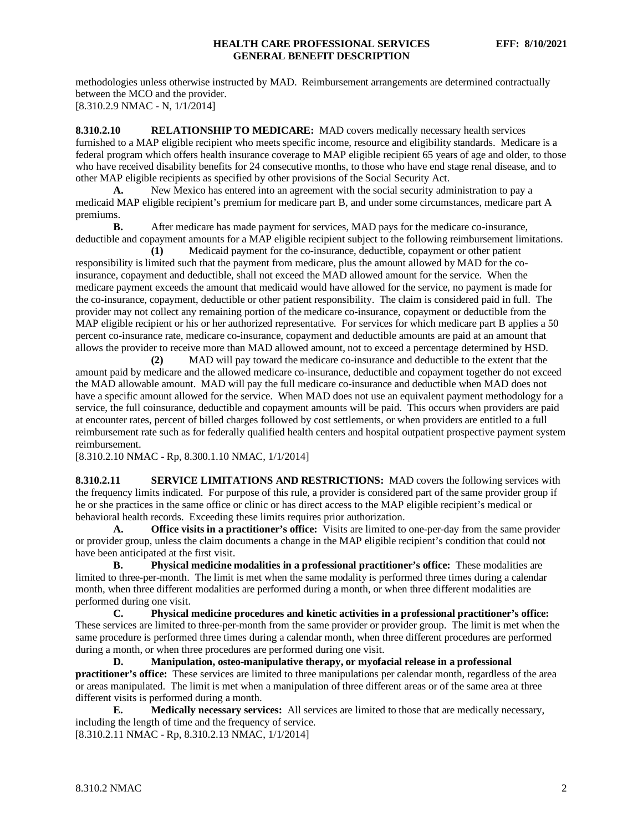methodologies unless otherwise instructed by MAD. Reimbursement arrangements are determined contractually between the MCO and the provider. [8.310.2.9 NMAC - N, 1/1/2014]

<span id="page-2-0"></span>**8.310.2.10 RELATIONSHIP TO MEDICARE:** MAD covers medically necessary health services furnished to a MAP eligible recipient who meets specific income, resource and eligibility standards. Medicare is a federal program which offers health insurance coverage to MAP eligible recipient 65 years of age and older, to those who have received disability benefits for 24 consecutive months, to those who have end stage renal disease, and to other MAP eligible recipients as specified by other provisions of the Social Security Act.

**A.** New Mexico has entered into an agreement with the social security administration to pay a medicaid MAP eligible recipient's premium for medicare part B, and under some circumstances, medicare part A premiums.<br>**B.** 

**B.** After medicare has made payment for services, MAD pays for the medicare co-insurance, deductible and copayment amounts for a MAP eligible recipient subject to the following reimbursement limitations.

**(1)** Medicaid payment for the co-insurance, deductible, copayment or other patient responsibility is limited such that the payment from medicare, plus the amount allowed by MAD for the coinsurance, copayment and deductible, shall not exceed the MAD allowed amount for the service. When the medicare payment exceeds the amount that medicaid would have allowed for the service, no payment is made for the co-insurance, copayment, deductible or other patient responsibility. The claim is considered paid in full. The provider may not collect any remaining portion of the medicare co-insurance, copayment or deductible from the MAP eligible recipient or his or her authorized representative. For services for which medicare part B applies a 50 percent co-insurance rate, medicare co-insurance, copayment and deductible amounts are paid at an amount that allows the provider to receive more than MAD allowed amount, not to exceed a percentage determined by HSD.<br>(2) MAD will pay toward the medicare co-insurance and deductible to the extent that the

**(2)** MAD will pay toward the medicare co-insurance and deductible to the extent that the amount paid by medicare and the allowed medicare co-insurance, deductible and copayment together do not exceed the MAD allowable amount. MAD will pay the full medicare co-insurance and deductible when MAD does not have a specific amount allowed for the service. When MAD does not use an equivalent payment methodology for a service, the full coinsurance, deductible and copayment amounts will be paid. This occurs when providers are paid at encounter rates, percent of billed charges followed by cost settlements, or when providers are entitled to a full reimbursement rate such as for federally qualified health centers and hospital outpatient prospective payment system reimbursement.

[8.310.2.10 NMAC - Rp, 8.300.1.10 NMAC, 1/1/2014]

<span id="page-2-1"></span>**8.310.2.11 SERVICE LIMITATIONS AND RESTRICTIONS:** MAD covers the following services with the frequency limits indicated. For purpose of this rule, a provider is considered part of the same provider group if he or she practices in the same office or clinic or has direct access to the MAP eligible recipient's medical or behavioral health records. Exceeding these limits requires prior authorization.

**A. Office visits in a practitioner's office:** Visits are limited to one-per-day from the same provider or provider group, unless the claim documents a change in the MAP eligible recipient's condition that could not have been anticipated at the first visit.

**B. Physical medicine modalities in a professional practitioner's office:** These modalities are limited to three-per-month. The limit is met when the same modality is performed three times during a calendar month, when three different modalities are performed during a month, or when three different modalities are performed during one visit.

**C. Physical medicine procedures and kinetic activities in a professional practitioner's office:**  These services are limited to three-per-month from the same provider or provider group. The limit is met when the same procedure is performed three times during a calendar month, when three different procedures are performed during a month, or when three procedures are performed during one visit.

**D. Manipulation, osteo-manipulative therapy, or myofacial release in a professional practitioner's office:** These services are limited to three manipulations per calendar month, regardless of the area or areas manipulated. The limit is met when a manipulation of three different areas or of the same area at three different visits is performed during a month.

**E. Medically necessary services:** All services are limited to those that are medically necessary, including the length of time and the frequency of service. [8.310.2.11 NMAC - Rp, 8.310.2.13 NMAC, 1/1/2014]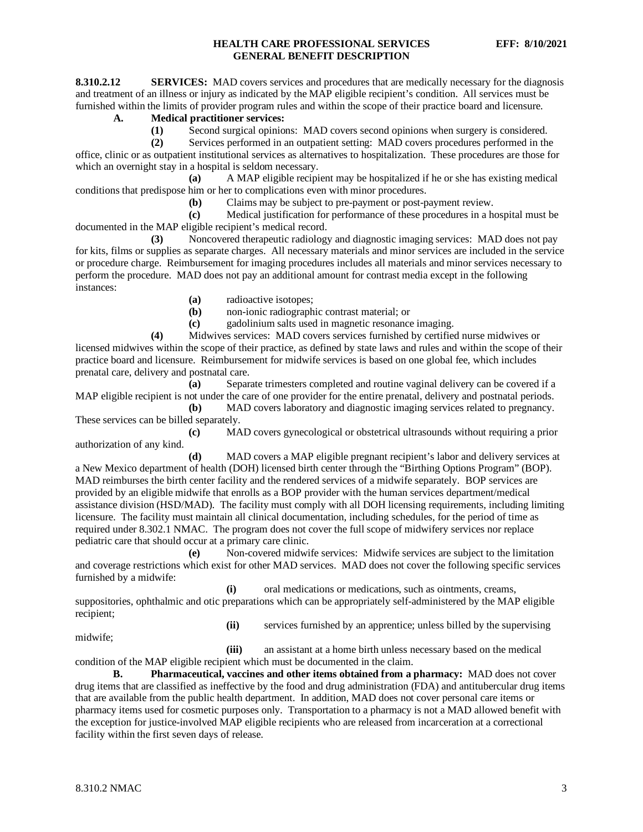<span id="page-3-0"></span>**8.310.2.12 SERVICES:** MAD covers services and procedures that are medically necessary for the diagnosis and treatment of an illness or injury as indicated by the MAP eligible recipient's condition. All services must be furnished within the limits of provider program rules and within the scope of their practice board and licensure.

# **A. Medical practitioner services:**

**(1)** Second surgical opinions: MAD covers second opinions when surgery is considered.

**(2)** Services performed in an outpatient setting: MAD covers procedures performed in the office, clinic or as outpatient institutional services as alternatives to hospitalization. These procedures are those for

which an overnight stay in a hospital is seldom necessary.<br>(a) A MAP eligible recipi **(a)** A MAP eligible recipient may be hospitalized if he or she has existing medical conditions that predispose him or her to complications even with minor procedures.

**(b)** Claims may be subject to pre-payment or post-payment review.

**(c)** Medical justification for performance of these procedures in a hospital must be documented in the MAP eligible recipient's medical record.

**(3)** Noncovered therapeutic radiology and diagnostic imaging services: MAD does not pay for kits, films or supplies as separate charges. All necessary materials and minor services are included in the service or procedure charge. Reimbursement for imaging procedures includes all materials and minor services necessary to perform the procedure. MAD does not pay an additional amount for contrast media except in the following instances:

**(a)** radioactive isotopes;

**(b)** non-ionic radiographic contrast material; or

**(c)** gadolinium salts used in magnetic resonance imaging.

**(4)** Midwives services: MAD covers services furnished by certified nurse midwives or licensed midwives within the scope of their practice, as defined by state laws and rules and within the scope of their practice board and licensure. Reimbursement for midwife services is based on one global fee, which includes prenatal care, delivery and postnatal care.

**(a)** Separate trimesters completed and routine vaginal delivery can be covered if a MAP eligible recipient is not under the care of one provider for the entire prenatal, delivery and postnatal periods.

**(b)** MAD covers laboratory and diagnostic imaging services related to pregnancy. These services can be billed separately.

**(c)** MAD covers gynecological or obstetrical ultrasounds without requiring a prior authorization of any kind.

**(d)** MAD covers a MAP eligible pregnant recipient's labor and delivery services at a New Mexico department of health (DOH) licensed birth center through the "Birthing Options Program" (BOP). MAD reimburses the birth center facility and the rendered services of a midwife separately. BOP services are provided by an eligible midwife that enrolls as a BOP provider with the human services department/medical assistance division (HSD/MAD). The facility must comply with all DOH licensing requirements, including limiting licensure. The facility must maintain all clinical documentation, including schedules, for the period of time as required under 8.302.1 NMAC. The program does not cover the full scope of midwifery services nor replace pediatric care that should occur at a primary care clinic.

**(e)** Non-covered midwife services: Midwife services are subject to the limitation and coverage restrictions which exist for other MAD services. MAD does not cover the following specific services furnished by a midwife:

**(i)** oral medications or medications, such as ointments, creams, suppositories, ophthalmic and otic preparations which can be appropriately self-administered by the MAP eligible recipient;

midwife;

**(ii)** services furnished by an apprentice; unless billed by the supervising

**(iii)** an assistant at a home birth unless necessary based on the medical condition of the MAP eligible recipient which must be documented in the claim.

**B. Pharmaceutical, vaccines and other items obtained from a pharmacy:** MAD does not cover drug items that are classified as ineffective by the food and drug administration (FDA) and antitubercular drug items that are available from the public health department. In addition, MAD does not cover personal care items or pharmacy items used for cosmetic purposes only. Transportation to a pharmacy is not a MAD allowed benefit with the exception for justice-involved MAP eligible recipients who are released from incarceration at a correctional facility within the first seven days of release.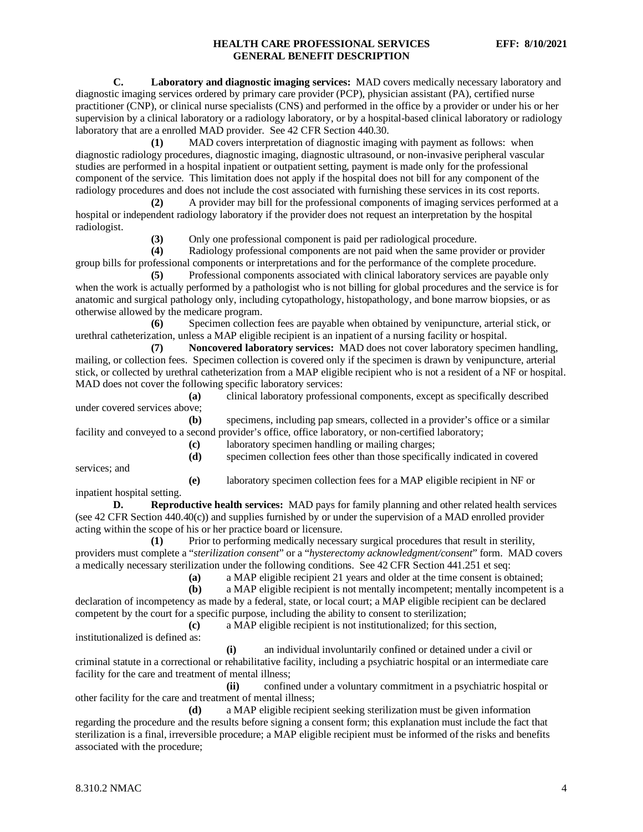**C. Laboratory and diagnostic imaging services:** MAD covers medically necessary laboratory and diagnostic imaging services ordered by primary care provider (PCP), physician assistant (PA), certified nurse practitioner (CNP), or clinical nurse specialists (CNS) and performed in the office by a provider or under his or her supervision by a clinical laboratory or a radiology laboratory, or by a hospital-based clinical laboratory or radiology laboratory that are a enrolled MAD provider. See 42 CFR Section 440.30.

**(1)** MAD covers interpretation of diagnostic imaging with payment as follows: when diagnostic radiology procedures, diagnostic imaging, diagnostic ultrasound, or non-invasive peripheral vascular studies are performed in a hospital inpatient or outpatient setting, payment is made only for the professional component of the service. This limitation does not apply if the hospital does not bill for any component of the radiology procedures and does not include the cost associated with furnishing these services in its cost reports.

**(2)** A provider may bill for the professional components of imaging services performed at a hospital or independent radiology laboratory if the provider does not request an interpretation by the hospital radiologist.

**(3)** Only one professional component is paid per radiological procedure.

**(4)** Radiology professional components are not paid when the same provider or provider group bills for professional components or interpretations and for the performance of the complete procedure.

**(5)** Professional components associated with clinical laboratory services are payable only when the work is actually performed by a pathologist who is not billing for global procedures and the service is for anatomic and surgical pathology only, including cytopathology, histopathology, and bone marrow biopsies, or as otherwise allowed by the medicare program.

**(6)** Specimen collection fees are payable when obtained by venipuncture, arterial stick, or urethral catheterization, unless a MAP eligible recipient is an inpatient of a nursing facility or hospital.

**(7) Noncovered laboratory services:** MAD does not cover laboratory specimen handling, mailing, or collection fees. Specimen collection is covered only if the specimen is drawn by venipuncture, arterial stick, or collected by urethral catheterization from a MAP eligible recipient who is not a resident of a NF or hospital. MAD does not cover the following specific laboratory services:

**(a)** clinical laboratory professional components, except as specifically described under covered services above;

**(b)** specimens, including pap smears, collected in a provider's office or a similar facility and conveyed to a second provider's office, office laboratory, or non-certified laboratory;

**(c)** laboratory specimen handling or mailing charges;

services; and

**(e)** laboratory specimen collection fees for a MAP eligible recipient in NF or

**(d)** specimen collection fees other than those specifically indicated in covered

inpatient hospital setting.

**D. Reproductive health services:** MAD pays for family planning and other related health services (see 42 CFR Section 440.40(c)) and supplies furnished by or under the supervision of a MAD enrolled provider acting within the scope of his or her practice board or licensure.

**(1)** Prior to performing medically necessary surgical procedures that result in sterility, providers must complete a "*sterilization consent*" or a "*hysterectomy acknowledgment/consent*" form. MAD covers a medically necessary sterilization under the following conditions. See 42 CFR Section 441.251 et seq:

**(a)** a MAP eligible recipient 21 years and older at the time consent is obtained;

a MAP eligible recipient is not mentally incompetent; mentally incompetent is a declaration of incompetency as made by a federal, state, or local court; a MAP eligible recipient can be declared competent by the court for a specific purpose, including the ability to consent to sterilization;

**(c)** a MAP eligible recipient is not institutionalized; for this section,

institutionalized is defined as:

**(i)** an individual involuntarily confined or detained under a civil or criminal statute in a correctional or rehabilitative facility, including a psychiatric hospital or an intermediate care facility for the care and treatment of mental illness;

**(ii)** confined under a voluntary commitment in a psychiatric hospital or other facility for the care and treatment of mental illness;

**(d)** a MAP eligible recipient seeking sterilization must be given information regarding the procedure and the results before signing a consent form; this explanation must include the fact that sterilization is a final, irreversible procedure; a MAP eligible recipient must be informed of the risks and benefits associated with the procedure;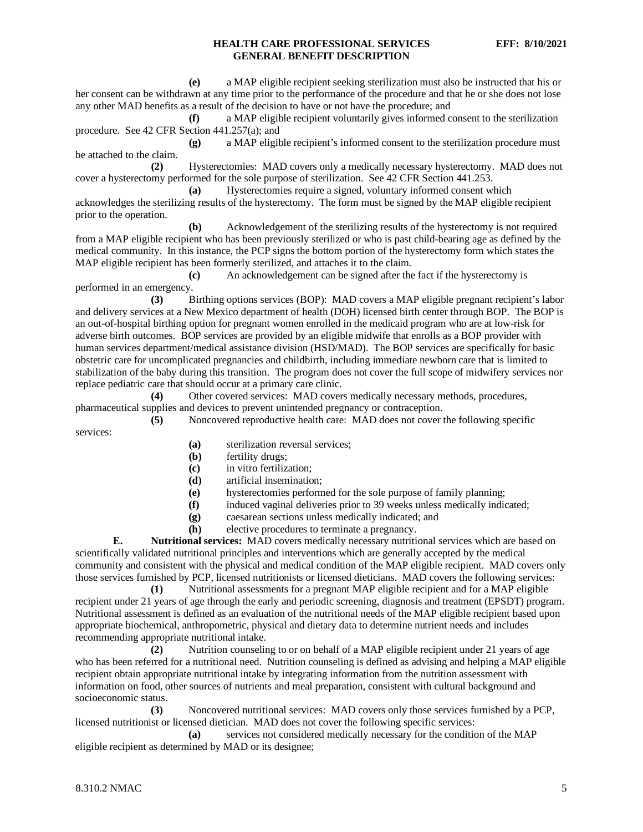**(e)** a MAP eligible recipient seeking sterilization must also be instructed that his or her consent can be withdrawn at any time prior to the performance of the procedure and that he or she does not lose any other MAD benefits as a result of the decision to have or not have the procedure; and

**(f)** a MAP eligible recipient voluntarily gives informed consent to the sterilization procedure. See 42 CFR Section 441.257(a); and

**(g)** a MAP eligible recipient's informed consent to the sterilization procedure must be attached to the claim.

**(2)** Hysterectomies: MAD covers only a medically necessary hysterectomy. MAD does not cover a hysterectomy performed for the sole purpose of sterilization. See 42 CFR Section 441.253.

**(a)** Hysterectomies require a signed, voluntary informed consent which acknowledges the sterilizing results of the hysterectomy. The form must be signed by the MAP eligible recipient prior to the operation.

**(b)** Acknowledgement of the sterilizing results of the hysterectomy is not required from a MAP eligible recipient who has been previously sterilized or who is past child-bearing age as defined by the medical community. In this instance, the PCP signs the bottom portion of the hysterectomy form which states the MAP eligible recipient has been formerly sterilized, and attaches it to the claim.

**(c)** An acknowledgement can be signed after the fact if the hysterectomy is performed in an emergency.

**(3)** Birthing options services (BOP): MAD covers a MAP eligible pregnant recipient's labor and delivery services at a New Mexico department of health (DOH) licensed birth center through BOP. The BOP is an out-of-hospital birthing option for pregnant women enrolled in the medicaid program who are at low-risk for adverse birth outcomes. BOP services are provided by an eligible midwife that enrolls as a BOP provider with human services department/medical assistance division (HSD/MAD). The BOP services are specifically for basic obstetric care for uncomplicated pregnancies and childbirth, including immediate newborn care that is limited to stabilization of the baby during this transition. The program does not cover the full scope of midwifery services nor replace pediatric care that should occur at a primary care clinic.

**(4)** Other covered services: MAD covers medically necessary methods, procedures, pharmaceutical supplies and devices to prevent unintended pregnancy or contraception.

**(5)** Noncovered reproductive health care: MAD does not cover the following specific services:

- **(a)** sterilization reversal services;
- **(b)** fertility drugs;
- **(c)** in vitro fertilization;
- **(d)** artificial insemination;
- **(e)** hysterectomies performed for the sole purpose of family planning;
- **(f)** induced vaginal deliveries prior to 39 weeks unless medically indicated;
- **(g)** caesarean sections unless medically indicated; and
- **(h)** elective procedures to terminate a pregnancy.

**E. Nutritional services:** MAD covers medically necessary nutritional services which are based on scientifically validated nutritional principles and interventions which are generally accepted by the medical community and consistent with the physical and medical condition of the MAP eligible recipient. MAD covers only those services furnished by PCP, licensed nutritionists or licensed dieticians. MAD covers the following services:

**(1)** Nutritional assessments for a pregnant MAP eligible recipient and for a MAP eligible recipient under 21 years of age through the early and periodic screening, diagnosis and treatment (EPSDT) program. Nutritional assessment is defined as an evaluation of the nutritional needs of the MAP eligible recipient based upon appropriate biochemical, anthropometric, physical and dietary data to determine nutrient needs and includes recommending appropriate nutritional intake.

**(2)** Nutrition counseling to or on behalf of a MAP eligible recipient under 21 years of age who has been referred for a nutritional need. Nutrition counseling is defined as advising and helping a MAP eligible recipient obtain appropriate nutritional intake by integrating information from the nutrition assessment with information on food, other sources of nutrients and meal preparation, consistent with cultural background and socioeconomic status.

**(3)** Noncovered nutritional services: MAD covers only those services furnished by a PCP, licensed nutritionist or licensed dietician. MAD does not cover the following specific services:

**(a)** services not considered medically necessary for the condition of the MAP eligible recipient as determined by MAD or its designee;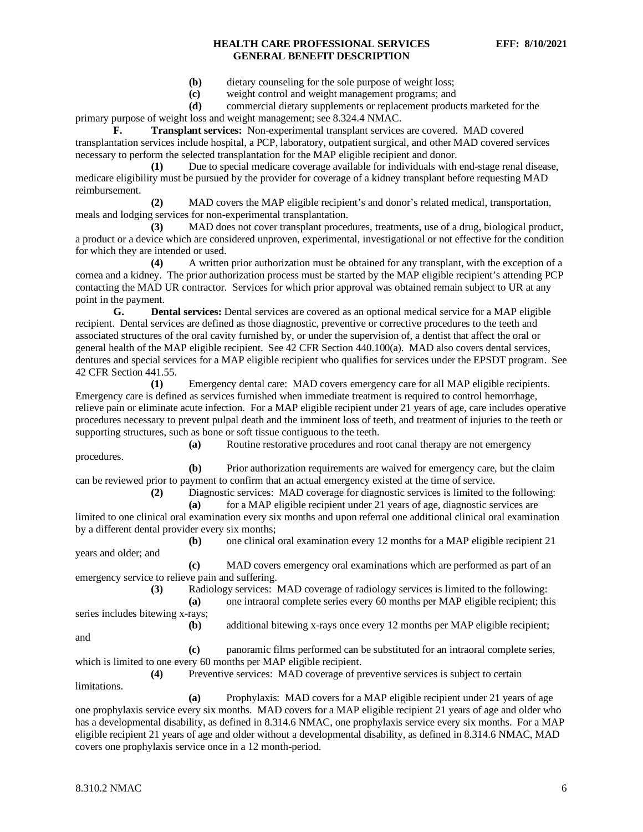- **(b)** dietary counseling for the sole purpose of weight loss;
- **(c)** weight control and weight management programs; and
- **(d)** commercial dietary supplements or replacement products marketed for the

primary purpose of weight loss and weight management; see 8.324.4 NMAC.

**F. Transplant services:** Non-experimental transplant services are covered. MAD covered transplantation services include hospital, a PCP, laboratory, outpatient surgical, and other MAD covered services necessary to perform the selected transplantation for the MAP eligible recipient and donor.

**(1)** Due to special medicare coverage available for individuals with end-stage renal disease, medicare eligibility must be pursued by the provider for coverage of a kidney transplant before requesting MAD reimbursement.

**(2)** MAD covers the MAP eligible recipient's and donor's related medical, transportation, meals and lodging services for non-experimental transplantation.

**(3)** MAD does not cover transplant procedures, treatments, use of a drug, biological product, a product or a device which are considered unproven, experimental, investigational or not effective for the condition for which they are intended or used.

**(4)** A written prior authorization must be obtained for any transplant, with the exception of a cornea and a kidney. The prior authorization process must be started by the MAP eligible recipient's attending PCP contacting the MAD UR contractor. Services for which prior approval was obtained remain subject to UR at any point in the payment.

**G. Dental services:** Dental services are covered as an optional medical service for a MAP eligible recipient. Dental services are defined as those diagnostic, preventive or corrective procedures to the teeth and associated structures of the oral cavity furnished by, or under the supervision of, a dentist that affect the oral or general health of the MAP eligible recipient. See 42 CFR Section 440.100(a). MAD also covers dental services, dentures and special services for a MAP eligible recipient who qualifies for services under the EPSDT program. See 42 CFR Section 441.55.

**(1)** Emergency dental care: MAD covers emergency care for all MAP eligible recipients. Emergency care is defined as services furnished when immediate treatment is required to control hemorrhage, relieve pain or eliminate acute infection. For a MAP eligible recipient under 21 years of age, care includes operative procedures necessary to prevent pulpal death and the imminent loss of teeth, and treatment of injuries to the teeth or supporting structures, such as bone or soft tissue contiguous to the teeth.

procedures.

**(a)** Routine restorative procedures and root canal therapy are not emergency

**(b)** Prior authorization requirements are waived for emergency care, but the claim can be reviewed prior to payment to confirm that an actual emergency existed at the time of service.

**(2)** Diagnostic services: MAD coverage for diagnostic services is limited to the following: **(a)** for a MAP eligible recipient under 21 years of age, diagnostic services are

limited to one clinical oral examination every six months and upon referral one additional clinical oral examination by a different dental provider every six months;

**(b)** one clinical oral examination every 12 months for a MAP eligible recipient 21 years and older; and

**(c)** MAD covers emergency oral examinations which are performed as part of an emergency service to relieve pain and suffering.

**(3)** Radiology services: MAD coverage of radiology services is limited to the following:

**(b)** additional bitewing x-rays once every 12 months per MAP eligible recipient;

**(a)** one intraoral complete series every 60 months per MAP eligible recipient; this series includes bitewing x-rays;

and

**(c)** panoramic films performed can be substituted for an intraoral complete series, which is limited to one every 60 months per MAP eligible recipient.

**(4)** Preventive services: MAD coverage of preventive services is subject to certain limitations.

**(a)** Prophylaxis: MAD covers for a MAP eligible recipient under 21 years of age one prophylaxis service every six months. MAD covers for a MAP eligible recipient 21 years of age and older who has a developmental disability, as defined in 8.314.6 NMAC, one prophylaxis service every six months. For a MAP eligible recipient 21 years of age and older without a developmental disability, as defined in 8.314.6 NMAC, MAD covers one prophylaxis service once in a 12 month-period.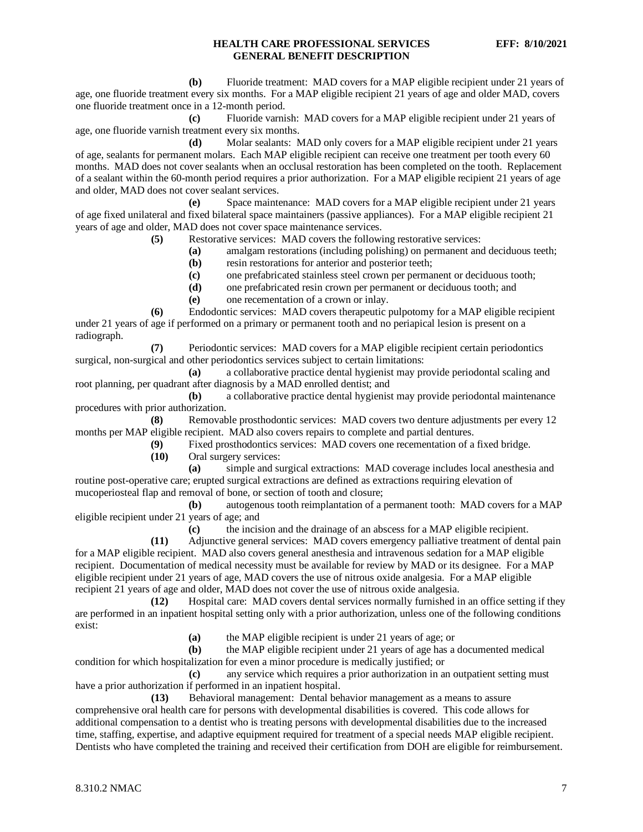**(b)** Fluoride treatment: MAD covers for a MAP eligible recipient under 21 years of age, one fluoride treatment every six months. For a MAP eligible recipient 21 years of age and older MAD, covers one fluoride treatment once in a 12-month period.

**(c)** Fluoride varnish: MAD covers for a MAP eligible recipient under 21 years of age, one fluoride varnish treatment every six months.

**(d)** Molar sealants: MAD only covers for a MAP eligible recipient under 21 years of age, sealants for permanent molars. Each MAP eligible recipient can receive one treatment per tooth every 60 months. MAD does not cover sealants when an occlusal restoration has been completed on the tooth. Replacement of a sealant within the 60-month period requires a prior authorization. For a MAP eligible recipient 21 years of age and older, MAD does not cover sealant services.

**(e)** Space maintenance: MAD covers for a MAP eligible recipient under 21 years of age fixed unilateral and fixed bilateral space maintainers (passive appliances). For a MAP eligible recipient 21 years of age and older, MAD does not cover space maintenance services.

**(5)** Restorative services: MAD covers the following restorative services:

**(a)** amalgam restorations (including polishing) on permanent and deciduous teeth;

- **(b)** resin restorations for anterior and posterior teeth;
- **(c)** one prefabricated stainless steel crown per permanent or deciduous tooth;

**(d)** one prefabricated resin crown per permanent or deciduous tooth; and

**(e)** one recementation of a crown or inlay.

**(6)** Endodontic services: MAD covers therapeutic pulpotomy for a MAP eligible recipient under 21 years of age if performed on a primary or permanent tooth and no periapical lesion is present on a radiograph.

**(7)** Periodontic services: MAD covers for a MAP eligible recipient certain periodontics surgical, non-surgical and other periodontics services subject to certain limitations:

**(a)** a collaborative practice dental hygienist may provide periodontal scaling and root planning, per quadrant after diagnosis by a MAD enrolled dentist; and

**(b)** a collaborative practice dental hygienist may provide periodontal maintenance procedures with prior authorization.

**(8)** Removable prosthodontic services: MAD covers two denture adjustments per every 12 months per MAP eligible recipient. MAD also covers repairs to complete and partial dentures.<br>(9) Fixed prosthodontics services: MAD covers one recementation of a

Fixed prosthodontics services: MAD covers one recementation of a fixed bridge.

**(10)** Oral surgery services:

**(a)** simple and surgical extractions: MAD coverage includes local anesthesia and routine post-operative care; erupted surgical extractions are defined as extractions requiring elevation of mucoperiosteal flap and removal of bone, or section of tooth and closure;

**(b)** autogenous tooth reimplantation of a permanent tooth: MAD covers for a MAP eligible recipient under 21 years of age; and

**(c)** the incision and the drainage of an abscess for a MAP eligible recipient.

**(11)** Adjunctive general services: MAD covers emergency palliative treatment of dental pain for a MAP eligible recipient. MAD also covers general anesthesia and intravenous sedation for a MAP eligible recipient. Documentation of medical necessity must be available for review by MAD or its designee. For a MAP eligible recipient under 21 years of age, MAD covers the use of nitrous oxide analgesia. For a MAP eligible recipient 21 years of age and older, MAD does not cover the use of nitrous oxide analgesia.

**(12)** Hospital care: MAD covers dental services normally furnished in an office setting if they are performed in an inpatient hospital setting only with a prior authorization, unless one of the following conditions exist:

**(a)** the MAP eligible recipient is under 21 years of age; or

**(b)** the MAP eligible recipient under 21 years of age has a documented medical condition for which hospitalization for even a minor procedure is medically justified; or

**(c)** any service which requires a prior authorization in an outpatient setting must have a prior authorization if performed in an inpatient hospital.

**(13)** Behavioral management:Dental behavior management as a means to assure comprehensive oral health care for persons with developmental disabilities is covered. This code allows for additional compensation to a dentist who is treating persons with developmental disabilities due to the increased time, staffing, expertise, and adaptive equipment required for treatment of a special needs MAP eligible recipient. Dentists who have completed the training and received their certification from DOH are eligible for reimbursement.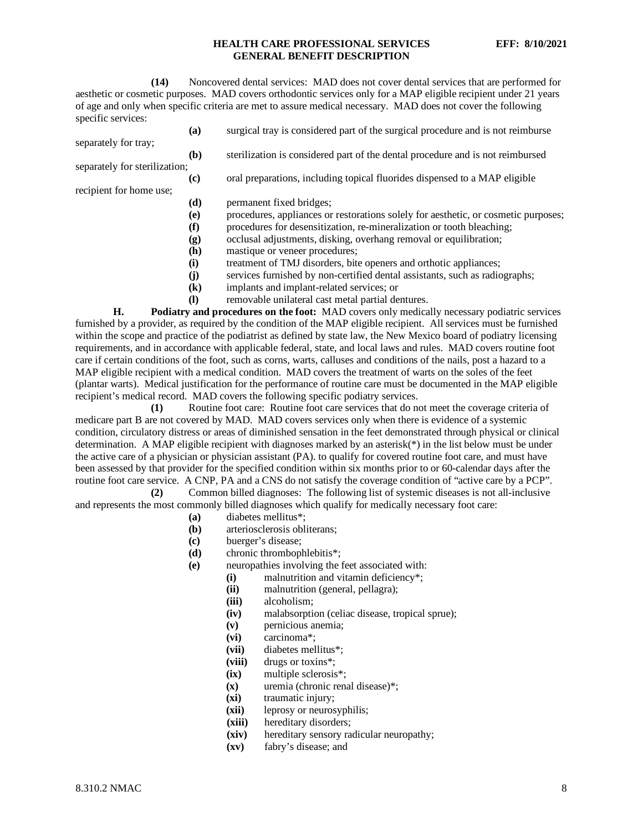**(14)** Noncovered dental services: MAD does not cover dental services that are performed for aesthetic or cosmetic purposes. MAD covers orthodontic services only for a MAP eligible recipient under 21 years of age and only when specific criteria are met to assure medical necessary. MAD does not cover the following specific services:

- **(a)** surgical tray is considered part of the surgical procedure and is not reimburse
- **(b)** sterilization is considered part of the dental procedure and is not reimbursed separately for sterilization;

separately for tray;

recipient for home use;

- **(c)** oral preparations, including topical fluorides dispensed to a MAP eligible
- **(d)** permanent fixed bridges;
	- **(e)** procedures, appliances or restorations solely for aesthetic, or cosmetic purposes;
	- **(f)** procedures for desensitization, re-mineralization or tooth bleaching;
	- **(g)** occlusal adjustments, disking, overhang removal or equilibration;
	- **(h)** mastique or veneer procedures;
	- **(i)** treatment of TMJ disorders, bite openers and orthotic appliances;
	- **(j)** services furnished by non-certified dental assistants, such as radiographs;
	- **(k)** implants and implant-related services; or
	- **(l)** removable unilateral cast metal partial dentures.

**H. Podiatry and procedures on the foot:** MAD covers only medically necessary podiatric services furnished by a provider, as required by the condition of the MAP eligible recipient. All services must be furnished within the scope and practice of the podiatrist as defined by state law, the New Mexico board of podiatry licensing requirements, and in accordance with applicable federal, state, and local laws and rules. MAD covers routine foot care if certain conditions of the foot, such as corns, warts, calluses and conditions of the nails, post a hazard to a MAP eligible recipient with a medical condition. MAD covers the treatment of warts on the soles of the feet (plantar warts). Medical justification for the performance of routine care must be documented in the MAP eligible recipient's medical record. MAD covers the following specific podiatry services.

**(1)** Routine foot care: Routine foot care services that do not meet the coverage criteria of medicare part B are not covered by MAD. MAD covers services only when there is evidence of a systemic condition, circulatory distress or areas of diminished sensation in the feet demonstrated through physical or clinical determination. A MAP eligible recipient with diagnoses marked by an asterisk(\*) in the list below must be under the active care of a physician or physician assistant (PA). to qualify for covered routine foot care, and must have been assessed by that provider for the specified condition within six months prior to or 60-calendar days after the routine foot care service. A CNP, PA and a CNS do not satisfy the coverage condition of "active care by a PCP".

**(2)** Common billed diagnoses: The following list of systemic diseases is not all-inclusive and represents the most commonly billed diagnoses which qualify for medically necessary foot care:

- **(a)** diabetes mellitus\*;
- **(b)** arteriosclerosis obliterans;
- **(c)** buerger's disease;
- **(d)** chronic thrombophlebitis\*;
- **(e)** neuropathies involving the feet associated with:
	- (i) malnutrition and vitamin deficiency<sup>\*</sup>;<br>(ii) malnutrition (general, pellagra);
		- malnutrition (general, pellagra);
		- **(iii)** alcoholism;
		- **(iv)** malabsorption (celiac disease, tropical sprue);
		- **(v)** pernicious anemia;
		- **(vi)** carcinoma\*;
		- **(vii)** diabetes mellitus\*;
	- **(viii)** drugs or toxins\*;
	- **(ix)** multiple sclerosis\*;
	- **(x)** uremia (chronic renal disease)\*;
	- **(xi)** traumatic injury;
	- **(xii)** leprosy or neurosyphilis;
	- hereditary disorders;
	- **(xiv)** hereditary sensory radicular neuropathy;
	- **(xv)** fabry's disease; and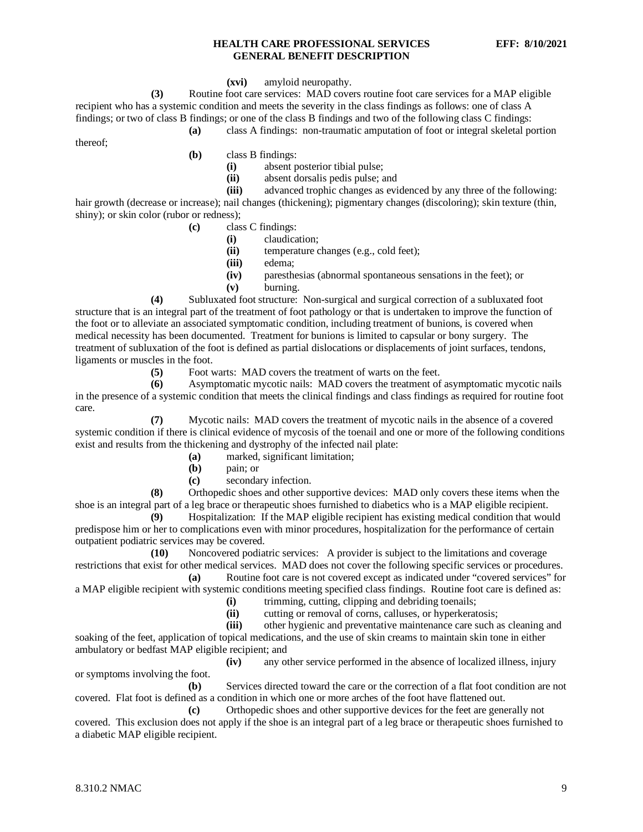#### **(xvi)** amyloid neuropathy.

**(3)** Routine foot care services: MAD covers routine foot care services for a MAP eligible recipient who has a systemic condition and meets the severity in the class findings as follows: one of class A findings; or two of class B findings; or one of the class B findings and two of the following class C findings:

**(a)** class A findings: non-traumatic amputation of foot or integral skeletal portion

thereof;

**(b)** class B findings:

- (i) absent posterior tibial pulse;<br>(ii) absent dorsalis pedis pulse: a
- **(ii)** absent dorsalis pedis pulse; and<br>**(iii)** advanced trophic changes as evi

advanced trophic changes as evidenced by any three of the following: hair growth (decrease or increase); nail changes (thickening); pigmentary changes (discoloring); skin texture (thin, shiny); or skin color (rubor or redness);

- **(c)** class C findings:
	- **(i)** claudication;
		- **(ii)** temperature changes (e.g., cold feet);
		- **(iii)** edema;
		- **(iv)** paresthesias (abnormal spontaneous sensations in the feet); or
		- **(v)** burning.

**(4)** Subluxated foot structure: Non-surgical and surgical correction of a subluxated foot structure that is an integral part of the treatment of foot pathology or that is undertaken to improve the function of the foot or to alleviate an associated symptomatic condition, including treatment of bunions, is covered when medical necessity has been documented. Treatment for bunions is limited to capsular or bony surgery. The treatment of subluxation of the foot is defined as partial dislocations or displacements of joint surfaces, tendons, ligaments or muscles in the foot.

**(5)** Foot warts: MAD covers the treatment of warts on the feet.<br>**(6)** Asymptomatic mycotic nails: MAD covers the treatment of

**(6)** Asymptomatic mycotic nails: MAD covers the treatment of asymptomatic mycotic nails in the presence of a systemic condition that meets the clinical findings and class findings as required for routine foot care.

**(7)** Mycotic nails: MAD covers the treatment of mycotic nails in the absence of a covered systemic condition if there is clinical evidence of mycosis of the toenail and one or more of the following conditions exist and results from the thickening and dystrophy of the infected nail plate:

- **(a)** marked, significant limitation;
- **(b)** pain; or
- **(c)** secondary infection.

**(8)** Orthopedic shoes and other supportive devices: MAD only covers these items when the shoe is an integral part of a leg brace or therapeutic shoes furnished to diabetics who is a MAP eligible recipient.

**(9)** Hospitalization: If the MAP eligible recipient has existing medical condition that would predispose him or her to complications even with minor procedures, hospitalization for the performance of certain outpatient podiatric services may be covered.

**(10)** Noncovered podiatric services: A provider is subject to the limitations and coverage restrictions that exist for other medical services. MAD does not cover the following specific services or procedures.

**(a)** Routine foot care is not covered except as indicated under "covered services" for a MAP eligible recipient with systemic conditions meeting specified class findings. Routine foot care is defined as:

- **(i)** trimming, cutting, clipping and debriding toenails;
- **(ii)** cutting or removal of corns, calluses, or hyperkeratosis;

**(iii)** other hygienic and preventative maintenance care such as cleaning and soaking of the feet, application of topical medications, and the use of skin creams to maintain skin tone in either ambulatory or bedfast MAP eligible recipient; and

**(iv)** any other service performed in the absence of localized illness, injury or symptoms involving the foot.

**(b)** Services directed toward the care or the correction of a flat foot condition are not covered. Flat foot is defined as a condition in which one or more arches of the foot have flattened out.

**(c)** Orthopedic shoes and other supportive devices for the feet are generally not covered. This exclusion does not apply if the shoe is an integral part of a leg brace or therapeutic shoes furnished to a diabetic MAP eligible recipient.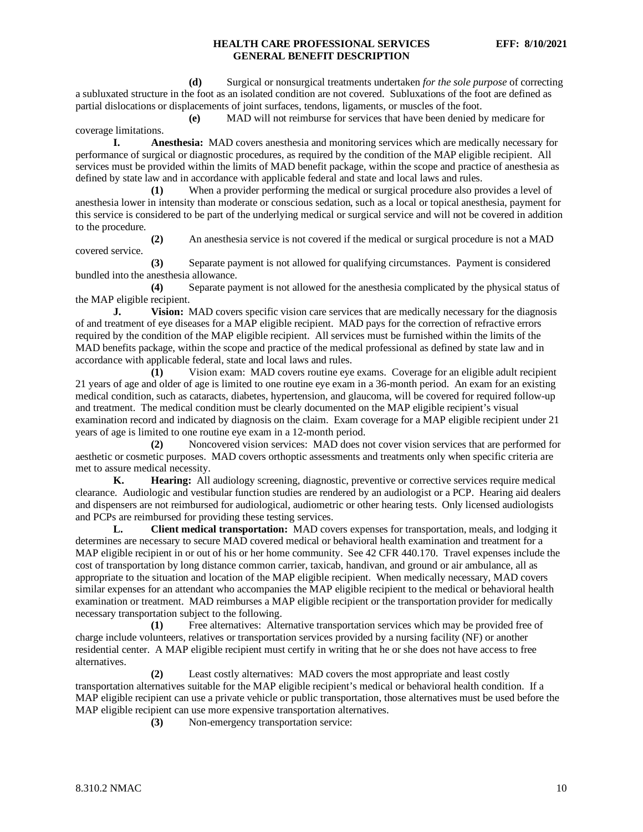**(d)** Surgical or nonsurgical treatments undertaken *for the sole purpose* of correcting a subluxated structure in the foot as an isolated condition are not covered. Subluxations of the foot are defined as partial dislocations or displacements of joint surfaces, tendons, ligaments, or muscles of the foot.

**(e)** MAD will not reimburse for services that have been denied by medicare for coverage limitations.

**I. Anesthesia:** MAD covers anesthesia and monitoring services which are medically necessary for performance of surgical or diagnostic procedures, as required by the condition of the MAP eligible recipient. All services must be provided within the limits of MAD benefit package, within the scope and practice of anesthesia as defined by state law and in accordance with applicable federal and state and local laws and rules.

**(1)** When a provider performing the medical or surgical procedure also provides a level of anesthesia lower in intensity than moderate or conscious sedation, such as a local or topical anesthesia, payment for this service is considered to be part of the underlying medical or surgical service and will not be covered in addition to the procedure.

**(2)** An anesthesia service is not covered if the medical or surgical procedure is not a MAD covered service.

**(3)** Separate payment is not allowed for qualifying circumstances. Payment is considered bundled into the anesthesia allowance.

**(4)** Separate payment is not allowed for the anesthesia complicated by the physical status of the MAP eligible recipient.

**J. Vision:** MAD covers specific vision care services that are medically necessary for the diagnosis of and treatment of eye diseases for a MAP eligible recipient. MAD pays for the correction of refractive errors required by the condition of the MAP eligible recipient. All services must be furnished within the limits of the MAD benefits package, within the scope and practice of the medical professional as defined by state law and in accordance with applicable federal, state and local laws and rules.

**(1)** Vision exam: MAD covers routine eye exams. Coverage for an eligible adult recipient 21 years of age and older of age is limited to one routine eye exam in a 36-month period. An exam for an existing medical condition, such as cataracts, diabetes, hypertension, and glaucoma, will be covered for required follow-up and treatment. The medical condition must be clearly documented on the MAP eligible recipient's visual examination record and indicated by diagnosis on the claim. Exam coverage for a MAP eligible recipient under 21 years of age is limited to one routine eye exam in a 12-month period.

**(2)** Noncovered vision services: MAD does not cover vision services that are performed for aesthetic or cosmetic purposes. MAD covers orthoptic assessments and treatments only when specific criteria are met to assure medical necessity.

**K. Hearing:** All audiology screening, diagnostic, preventive or corrective services require medical clearance. Audiologic and vestibular function studies are rendered by an audiologist or a PCP. Hearing aid dealers and dispensers are not reimbursed for audiological, audiometric or other hearing tests. Only licensed audiologists and PCPs are reimbursed for providing these testing services.

**L. Client medical transportation:** MAD covers expenses for transportation, meals, and lodging it determines are necessary to secure MAD covered medical or behavioral health examination and treatment for a MAP eligible recipient in or out of his or her home community. See 42 CFR 440.170. Travel expenses include the cost of transportation by long distance common carrier, taxicab, handivan, and ground or air ambulance, all as appropriate to the situation and location of the MAP eligible recipient. When medically necessary, MAD covers similar expenses for an attendant who accompanies the MAP eligible recipient to the medical or behavioral health examination or treatment. MAD reimburses a MAP eligible recipient or the transportation provider for medically necessary transportation subject to the following.

**(1)** Free alternatives: Alternative transportation services which may be provided free of charge include volunteers, relatives or transportation services provided by a nursing facility (NF) or another residential center. A MAP eligible recipient must certify in writing that he or she does not have access to free alternatives.

**(2)** Least costly alternatives: MAD covers the most appropriate and least costly transportation alternatives suitable for the MAP eligible recipient's medical or behavioral health condition. If a MAP eligible recipient can use a private vehicle or public transportation, those alternatives must be used before the MAP eligible recipient can use more expensive transportation alternatives.

**(3)** Non-emergency transportation service: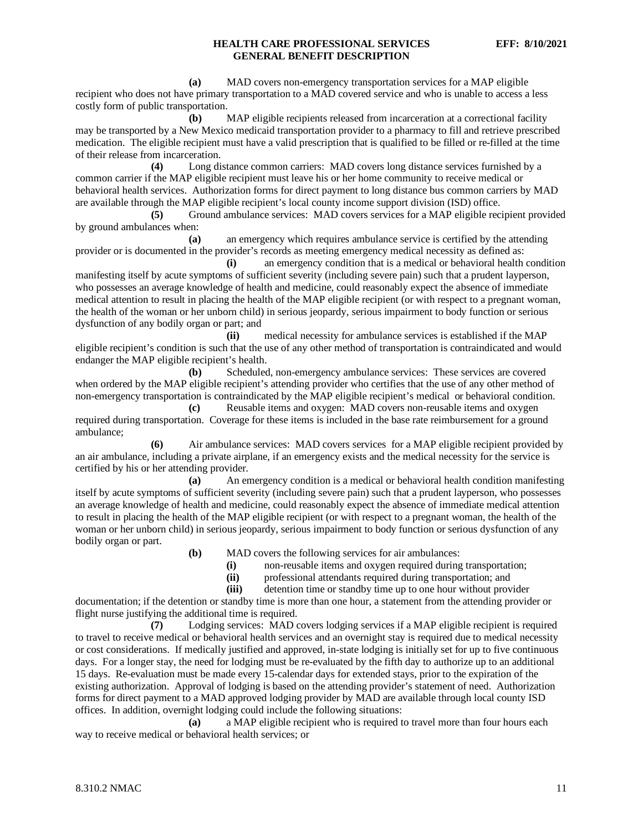**(a)** MAD covers non-emergency transportation services for a MAP eligible recipient who does not have primary transportation to a MAD covered service and who is unable to access a less costly form of public transportation.

**(b)** MAP eligible recipients released from incarceration at a correctional facility may be transported by a New Mexico medicaid transportation provider to a pharmacy to fill and retrieve prescribed medication. The eligible recipient must have a valid prescription that is qualified to be filled or re-filled at the time of their release from incarceration.

**(4)** Long distance common carriers: MAD covers long distance services furnished by a common carrier if the MAP eligible recipient must leave his or her home community to receive medical or behavioral health services. Authorization forms for direct payment to long distance bus common carriers by MAD are available through the MAP eligible recipient's local county income support division (ISD) office.

**(5)** Ground ambulance services: MAD covers services for a MAP eligible recipient provided by ground ambulances when:

**(a)** an emergency which requires ambulance service is certified by the attending provider or is documented in the provider's records as meeting emergency medical necessity as defined as:

**(i)** an emergency condition that is a medical or behavioral health condition manifesting itself by acute symptoms of sufficient severity (including severe pain) such that a prudent layperson, who possesses an average knowledge of health and medicine, could reasonably expect the absence of immediate medical attention to result in placing the health of the MAP eligible recipient (or with respect to a pregnant woman, the health of the woman or her unborn child) in serious jeopardy, serious impairment to body function or serious dysfunction of any bodily organ or part; and

**(ii)** medical necessity for ambulance services is established if the MAP eligible recipient's condition is such that the use of any other method of transportation is contraindicated and would endanger the MAP eligible recipient's health.

**(b)** Scheduled, non-emergency ambulance services: These services are covered when ordered by the MAP eligible recipient's attending provider who certifies that the use of any other method of non-emergency transportation is contraindicated by the MAP eligible recipient's medical or behavioral condition.

**(c)** Reusable items and oxygen: MAD covers non-reusable items and oxygen required during transportation. Coverage for these items is included in the base rate reimbursement for a ground ambulance;

**(6)** Air ambulance services: MAD covers services for a MAP eligible recipient provided by an air ambulance, including a private airplane, if an emergency exists and the medical necessity for the service is certified by his or her attending provider.

**(a)** An emergency condition is a medical or behavioral health condition manifesting itself by acute symptoms of sufficient severity (including severe pain) such that a prudent layperson, who possesses an average knowledge of health and medicine, could reasonably expect the absence of immediate medical attention to result in placing the health of the MAP eligible recipient (or with respect to a pregnant woman, the health of the woman or her unborn child) in serious jeopardy, serious impairment to body function or serious dysfunction of any bodily organ or part.

- **(b)** MAD covers the following services for air ambulances:
	- (i) non-reusable items and oxygen required during transportation;<br>(ii) professional attendants required during transportation; and
	-
	- **(ii)** professional attendants required during transportation; and **(iii)** detention time or standby time up to one hour without prov detention time or standby time up to one hour without provider

documentation; if the detention or standby time is more than one hour, a statement from the attending provider or flight nurse justifying the additional time is required.

**(7)** Lodging services: MAD covers lodging services if a MAP eligible recipient is required to travel to receive medical or behavioral health services and an overnight stay is required due to medical necessity or cost considerations. If medically justified and approved, in-state lodging is initially set for up to five continuous days. For a longer stay, the need for lodging must be re-evaluated by the fifth day to authorize up to an additional 15 days. Re-evaluation must be made every 15-calendar days for extended stays, prior to the expiration of the existing authorization. Approval of lodging is based on the attending provider's statement of need. Authorization forms for direct payment to a MAD approved lodging provider by MAD are available through local county ISD offices. In addition, overnight lodging could include the following situations:

**(a)** a MAP eligible recipient who is required to travel more than four hours each way to receive medical or behavioral health services; or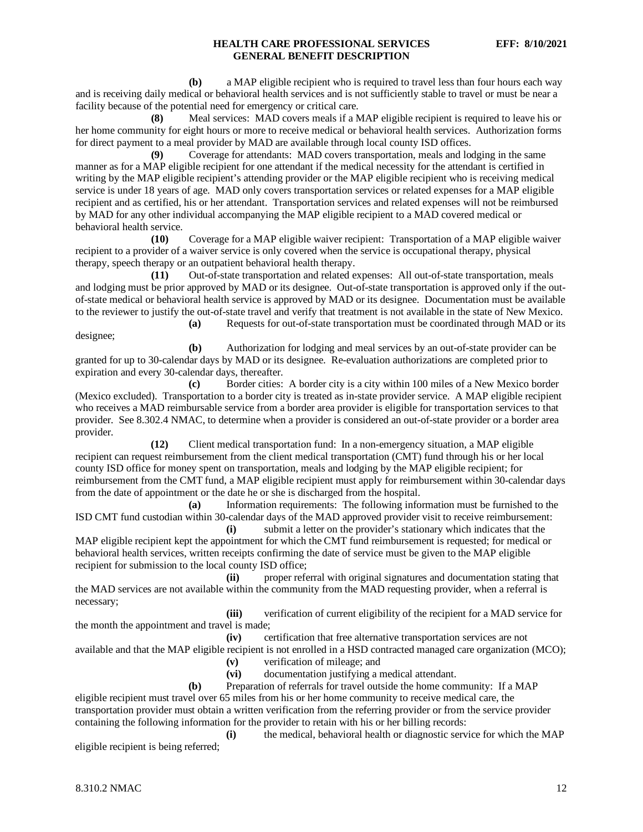**(b)** a MAP eligible recipient who is required to travel less than four hours each way and is receiving daily medical or behavioral health services and is not sufficiently stable to travel or must be near a facility because of the potential need for emergency or critical care.

**(8)** Meal services: MAD covers meals if a MAP eligible recipient is required to leave his or her home community for eight hours or more to receive medical or behavioral health services. Authorization forms for direct payment to a meal provider by MAD are available through local county ISD offices.

**(9)** Coverage for attendants: MAD covers transportation, meals and lodging in the same manner as for a MAP eligible recipient for one attendant if the medical necessity for the attendant is certified in writing by the MAP eligible recipient's attending provider or the MAP eligible recipient who is receiving medical service is under 18 years of age. MAD only covers transportation services or related expenses for a MAP eligible recipient and as certified, his or her attendant. Transportation services and related expenses will not be reimbursed by MAD for any other individual accompanying the MAP eligible recipient to a MAD covered medical or behavioral health service.

**(10)** Coverage for a MAP eligible waiver recipient: Transportation of a MAP eligible waiver recipient to a provider of a waiver service is only covered when the service is occupational therapy, physical therapy, speech therapy or an outpatient behavioral health therapy.

**(11)** Out-of-state transportation and related expenses: All out-of-state transportation, meals and lodging must be prior approved by MAD or its designee. Out-of-state transportation is approved only if the outof-state medical or behavioral health service is approved by MAD or its designee. Documentation must be available to the reviewer to justify the out-of-state travel and verify that treatment is not available in the state of New Mexico.

designee;

**(a)** Requests for out-of-state transportation must be coordinated through MAD or its

**(b)** Authorization for lodging and meal services by an out-of-state provider can be granted for up to 30-calendar days by MAD or its designee. Re-evaluation authorizations are completed prior to expiration and every 30-calendar days, thereafter.

**(c)** Border cities: A border city is a city within 100 miles of a New Mexico border (Mexico excluded). Transportation to a border city is treated as in-state provider service. A MAP eligible recipient who receives a MAD reimbursable service from a border area provider is eligible for transportation services to that provider. See 8.302.4 NMAC, to determine when a provider is considered an out-of-state provider or a border area provider.

**(12)** Client medical transportation fund: In a non-emergency situation, a MAP eligible recipient can request reimbursement from the client medical transportation (CMT) fund through his or her local county ISD office for money spent on transportation, meals and lodging by the MAP eligible recipient; for reimbursement from the CMT fund, a MAP eligible recipient must apply for reimbursement within 30-calendar days from the date of appointment or the date he or she is discharged from the hospital.

**(a)** Information requirements: The following information must be furnished to the ISD CMT fund custodian within 30-calendar days of the MAD approved provider visit to receive reimbursement:

**(i)** submit a letter on the provider's stationary which indicates that the MAP eligible recipient kept the appointment for which the CMT fund reimbursement is requested; for medical or behavioral health services, written receipts confirming the date of service must be given to the MAP eligible recipient for submission to the local county ISD office;

**(ii)** proper referral with original signatures and documentation stating that the MAD services are not available within the community from the MAD requesting provider, when a referral is necessary;

**(iii)** verification of current eligibility of the recipient for a MAD service for the month the appointment and travel is made;

**(iv)** certification that free alternative transportation services are not

available and that the MAP eligible recipient is not enrolled in a HSD contracted managed care organization (MCO);

**(v)** verification of mileage; and

**(vi)** documentation justifying a medical attendant.

**(b)** Preparation of referrals for travel outside the home community: If a MAP

eligible recipient must travel over 65 miles from his or her home community to receive medical care, the transportation provider must obtain a written verification from the referring provider or from the service provider containing the following information for the provider to retain with his or her billing records:

**(i)** the medical, behavioral health or diagnostic service for which the MAP eligible recipient is being referred;

 $8.310.2$  NMAC 12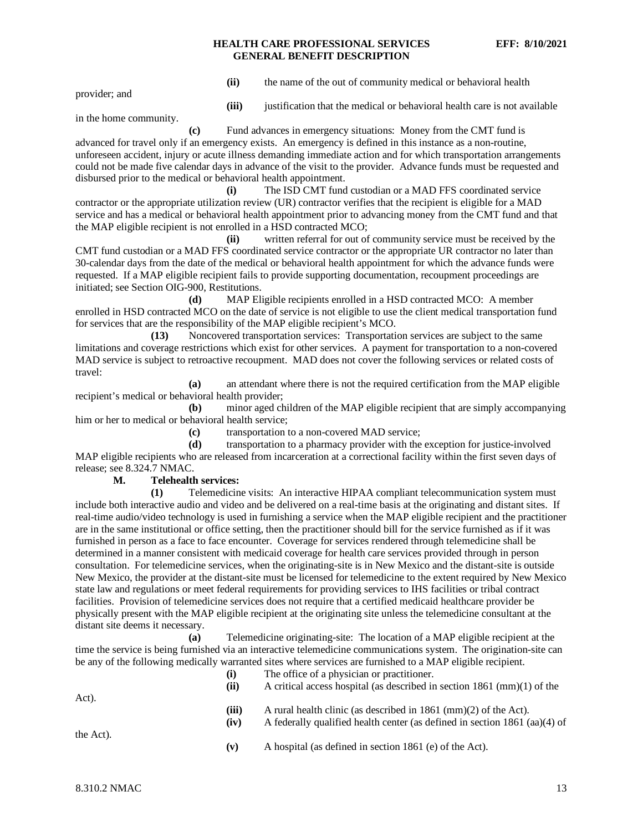provider; and

**(ii)** the name of the out of community medical or behavioral health

**(iii)** justification that the medical or behavioral health care is not available

in the home community.

**(c)** Fund advances in emergency situations: Money from the CMT fund is advanced for travel only if an emergency exists. An emergency is defined in this instance as a non-routine, unforeseen accident, injury or acute illness demanding immediate action and for which transportation arrangements could not be made five calendar days in advance of the visit to the provider. Advance funds must be requested and disbursed prior to the medical or behavioral health appointment.

**(i)** The ISD CMT fund custodian or a MAD FFS coordinated service contractor or the appropriate utilization review (UR) contractor verifies that the recipient is eligible for a MAD service and has a medical or behavioral health appointment prior to advancing money from the CMT fund and that the MAP eligible recipient is not enrolled in a HSD contracted MCO;

**(ii)** written referral for out of community service must be received by the CMT fund custodian or a MAD FFS coordinated service contractor or the appropriate UR contractor no later than 30-calendar days from the date of the medical or behavioral health appointment for which the advance funds were requested. If a MAP eligible recipient fails to provide supporting documentation, recoupment proceedings are initiated; see Section OIG-900, Restitutions.

**(d)** MAP Eligible recipients enrolled in a HSD contracted MCO: A member enrolled in HSD contracted MCO on the date of service is not eligible to use the client medical transportation fund for services that are the responsibility of the MAP eligible recipient's MCO.

**(13)** Noncovered transportation services: Transportation services are subject to the same limitations and coverage restrictions which exist for other services. A payment for transportation to a non-covered MAD service is subject to retroactive recoupment. MAD does not cover the following services or related costs of travel:

**(a)** an attendant where there is not the required certification from the MAP eligible recipient's medical or behavioral health provider;

**(b)** minor aged children of the MAP eligible recipient that are simply accompanying him or her to medical or behavioral health service;

**(c)** transportation to a non-covered MAD service;

**(d)** transportation to a pharmacy provider with the exception for justice-involved MAP eligible recipients who are released from incarceration at a correctional facility within the first seven days of release; see 8.324.7 NMAC.

#### **M. Telehealth services:**

**(1)** Telemedicine visits: An interactive HIPAA compliant telecommunication system must include both interactive audio and video and be delivered on a real-time basis at the originating and distant sites. If real-time audio/video technology is used in furnishing a service when the MAP eligible recipient and the practitioner are in the same institutional or office setting, then the practitioner should bill for the service furnished as if it was furnished in person as a face to face encounter. Coverage for services rendered through telemedicine shall be determined in a manner consistent with medicaid coverage for health care services provided through in person consultation. For telemedicine services, when the originating-site is in New Mexico and the distant-site is outside New Mexico, the provider at the distant-site must be licensed for telemedicine to the extent required by New Mexico state law and regulations or meet federal requirements for providing services to IHS facilities or tribal contract facilities. Provision of telemedicine services does not require that a certified medicaid healthcare provider be physically present with the MAP eligible recipient at the originating site unless the telemedicine consultant at the distant site deems it necessary.

**(a)** Telemedicine originating-site: The location of a MAP eligible recipient at the time the service is being furnished via an interactive telemedicine communications system. The origination-site can be any of the following medically warranted sites where services are furnished to a MAP eligible recipient. The office of a physician

| Act).     | -011<br>(ii)  | The office of a physician or practitioner.<br>A critical access hospital (as described in section $1861 \, \text{(mm)}(1)$ of the                            |
|-----------|---------------|--------------------------------------------------------------------------------------------------------------------------------------------------------------|
| the Act). | (iii)<br>(iv) | A rural health clinic (as described in $1861 \, \text{(mm)}(2)$ of the Act).<br>A federally qualified health center (as defined in section $1861$ (aa)(4) of |
|           | (v)           | A hospital (as defined in section 1861 (e) of the Act).                                                                                                      |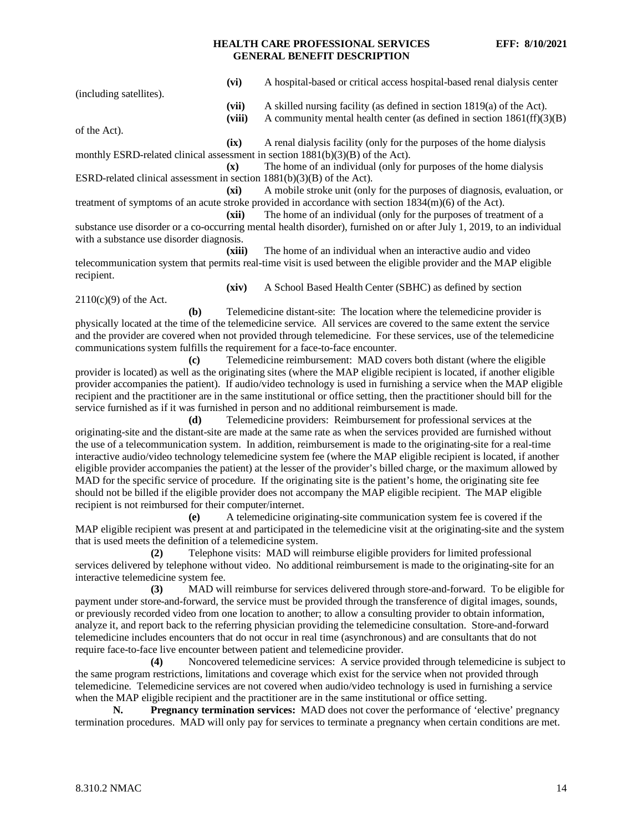| (vi)                                                                                                   | A hospital-based or critical access hospital-based renal dialysis center                                                                               |  |  |  |
|--------------------------------------------------------------------------------------------------------|--------------------------------------------------------------------------------------------------------------------------------------------------------|--|--|--|
| (including satellites).<br>(vii)<br>(viii)                                                             | A skilled nursing facility (as defined in section $1819(a)$ of the Act).<br>A community mental health center (as defined in section $1861(ff)(3)(B)$ ) |  |  |  |
| of the Act).                                                                                           |                                                                                                                                                        |  |  |  |
| (ix)                                                                                                   | A renal dialysis facility (only for the purposes of the home dialysis                                                                                  |  |  |  |
| monthly ESRD-related clinical assessment in section $1881(b)(3)(B)$ of the Act).                       |                                                                                                                                                        |  |  |  |
| $(\mathbf{x})$                                                                                         | The home of an individual (only for purposes of the home dialysis                                                                                      |  |  |  |
| ESRD-related clinical assessment in section $1881(b)(3)(B)$ of the Act).                               |                                                                                                                                                        |  |  |  |
| (xi)                                                                                                   | A mobile stroke unit (only for the purposes of diagnosis, evaluation, or                                                                               |  |  |  |
| treatment of symptoms of an acute stroke provided in accordance with section $1834(m)(6)$ of the Act). |                                                                                                                                                        |  |  |  |
| (xii)                                                                                                  | The home of an individual (only for the purposes of treatment of a                                                                                     |  |  |  |
|                                                                                                        |                                                                                                                                                        |  |  |  |

substance use disorder or a co-occurring mental health disorder), furnished on or after July 1, 2019, to an individual with a substance use disorder diagnosis.

**(xiii)** The home of an individual when an interactive audio and video telecommunication system that permits real-time visit is used between the eligible provider and the MAP eligible recipient.

2110(c)(9) of the Act.

**(b)** Telemedicine distant-site: The location where the telemedicine provider is physically located at the time of the telemedicine service. All services are covered to the same extent the service and the provider are covered when not provided through telemedicine. For these services, use of the telemedicine communications system fulfills the requirement for a face-to-face encounter.

**(c)** Telemedicine reimbursement: MAD covers both distant (where the eligible provider is located) as well as the originating sites (where the MAP eligible recipient is located, if another eligible provider accompanies the patient). If audio/video technology is used in furnishing a service when the MAP eligible recipient and the practitioner are in the same institutional or office setting, then the practitioner should bill for the service furnished as if it was furnished in person and no additional reimbursement is made.

**(d)** Telemedicine providers: Reimbursement for professional services at the originating-site and the distant-site are made at the same rate as when the services provided are furnished without the use of a telecommunication system. In addition, reimbursement is made to the originating-site for a real-time interactive audio/video technology telemedicine system fee (where the MAP eligible recipient is located, if another eligible provider accompanies the patient) at the lesser of the provider's billed charge, or the maximum allowed by MAD for the specific service of procedure. If the originating site is the patient's home, the originating site fee should not be billed if the eligible provider does not accompany the MAP eligible recipient. The MAP eligible recipient is not reimbursed for their computer/internet.

**(e)** A telemedicine originating-site communication system fee is covered if the MAP eligible recipient was present at and participated in the telemedicine visit at the originating-site and the system that is used meets the definition of a telemedicine system.

**(2)** Telephone visits: MAD will reimburse eligible providers for limited professional services delivered by telephone without video. No additional reimbursement is made to the originating-site for an interactive telemedicine system fee.

**(3)** MAD will reimburse for services delivered through store-and-forward. To be eligible for payment under store-and-forward, the service must be provided through the transference of digital images, sounds, or previously recorded video from one location to another; to allow a consulting provider to obtain information, analyze it, and report back to the referring physician providing the telemedicine consultation. Store-and-forward telemedicine includes encounters that do not occur in real time (asynchronous) and are consultants that do not require face-to-face live encounter between patient and telemedicine provider.

**(4)** Noncovered telemedicine services: A service provided through telemedicine is subject to the same program restrictions, limitations and coverage which exist for the service when not provided through telemedicine. Telemedicine services are not covered when audio/video technology is used in furnishing a service when the MAP eligible recipient and the practitioner are in the same institutional or office setting.

**N. Pregnancy termination services:** MAD does not cover the performance of 'elective' pregnancy termination procedures. MAD will only pay for services to terminate a pregnancy when certain conditions are met.

**<sup>(</sup>xiv)** A School Based Health Center (SBHC) as defined by section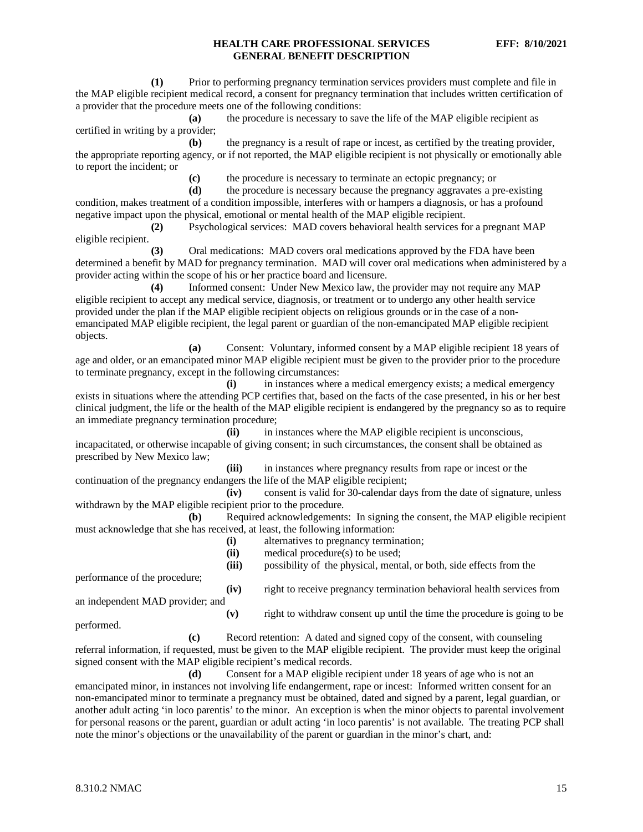**(1)** Prior to performing pregnancy termination services providers must complete and file in the MAP eligible recipient medical record, a consent for pregnancy termination that includes written certification of a provider that the procedure meets one of the following conditions:

**(a)** the procedure is necessary to save the life of the MAP eligible recipient as certified in writing by a provider;

**(b)** the pregnancy is a result of rape or incest, as certified by the treating provider, the appropriate reporting agency, or if not reported, the MAP eligible recipient is not physically or emotionally able to report the incident; or

**(c)** the procedure is necessary to terminate an ectopic pregnancy; or

**(d)** the procedure is necessary because the pregnancy aggravates a pre-existing condition, makes treatment of a condition impossible, interferes with or hampers a diagnosis, or has a profound negative impact upon the physical, emotional or mental health of the MAP eligible recipient.

**(2)** Psychological services: MAD covers behavioral health services for a pregnant MAP eligible recipient.

**(3)** Oral medications: MAD covers oral medications approved by the FDA have been determined a benefit by MAD for pregnancy termination. MAD will cover oral medications when administered by a provider acting within the scope of his or her practice board and licensure.

**(4)** Informed consent: Under New Mexico law, the provider may not require any MAP eligible recipient to accept any medical service, diagnosis, or treatment or to undergo any other health service provided under the plan if the MAP eligible recipient objects on religious grounds or in the case of a nonemancipated MAP eligible recipient, the legal parent or guardian of the non-emancipated MAP eligible recipient objects.

**(a)** Consent: Voluntary, informed consent by a MAP eligible recipient 18 years of age and older, or an emancipated minor MAP eligible recipient must be given to the provider prior to the procedure to terminate pregnancy, except in the following circumstances:

**(i)** in instances where a medical emergency exists; a medical emergency exists in situations where the attending PCP certifies that, based on the facts of the case presented, in his or her best clinical judgment, the life or the health of the MAP eligible recipient is endangered by the pregnancy so as to require an immediate pregnancy termination procedure;

**(ii)** in instances where the MAP eligible recipient is unconscious, incapacitated, or otherwise incapable of giving consent; in such circumstances, the consent shall be obtained as prescribed by New Mexico law;

**(iii)** in instances where pregnancy results from rape or incest or the continuation of the pregnancy endangers the life of the MAP eligible recipient;

**(iv)** consent is valid for 30-calendar days from the date of signature, unless withdrawn by the MAP eligible recipient prior to the procedure.

**(b)** Required acknowledgements: In signing the consent, the MAP eligible recipient must acknowledge that she has received, at least, the following information:

**(i)** alternatives to pregnancy termination;

**(ii)** medical procedure(s) to be used;

performance of the procedure;

**(iv)** right to receive pregnancy termination behavioral health services from

an independent MAD provider; and

**(v)** right to withdraw consent up until the time the procedure is going to be

performed.

**(c)** Record retention: A dated and signed copy of the consent, with counseling referral information, if requested, must be given to the MAP eligible recipient. The provider must keep the original signed consent with the MAP eligible recipient's medical records.

**(d)** Consent for a MAP eligible recipient under 18 years of age who is not an emancipated minor, in instances not involving life endangerment, rape or incest: Informed written consent for an non-emancipated minor to terminate a pregnancy must be obtained, dated and signed by a parent, legal guardian, or another adult acting 'in loco parentis' to the minor. An exception is when the minor objects to parental involvement for personal reasons or the parent, guardian or adult acting 'in loco parentis' is not available. The treating PCP shall note the minor's objections or the unavailability of the parent or guardian in the minor's chart, and:

**<sup>(</sup>iii)** possibility of the physical, mental, or both, side effects from the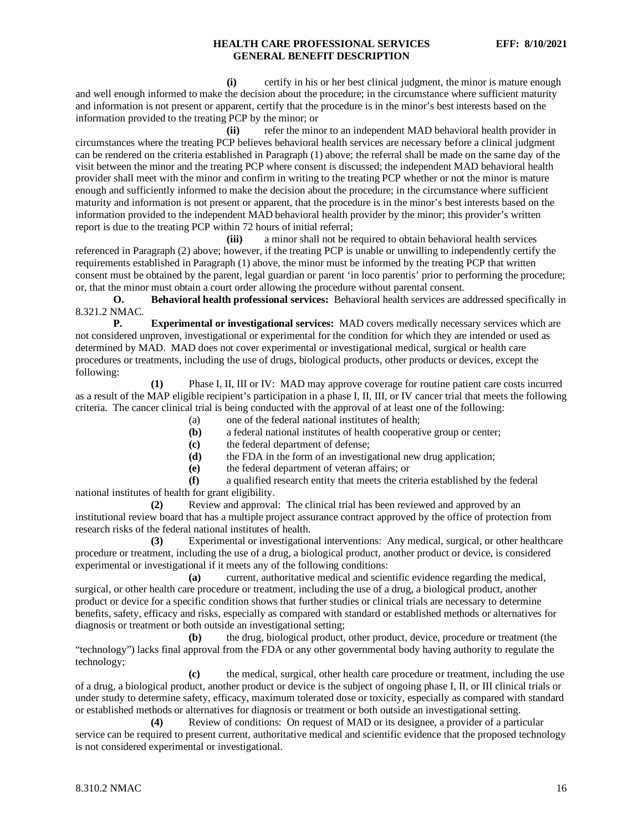**(i)** certify in his or her best clinical judgment, the minor is mature enough and well enough informed to make the decision about the procedure; in the circumstance where sufficient maturity and information is not present or apparent, certify that the procedure is in the minor's best interests based on the information provided to the treating PCP by the minor; or

**(ii)** refer the minor to an independent MAD behavioral health provider in circumstances where the treating PCP believes behavioral health services are necessary before a clinical judgment can be rendered on the criteria established in Paragraph (1) above; the referral shall be made on the same day of the visit between the minor and the treating PCP where consent is discussed; the independent MAD behavioral health provider shall meet with the minor and confirm in writing to the treating PCP whether or not the minor is mature enough and sufficiently informed to make the decision about the procedure; in the circumstance where sufficient maturity and information is not present or apparent, that the procedure is in the minor's best interests based on the information provided to the independent MAD behavioral health provider by the minor; this provider's written report is due to the treating PCP within 72 hours of initial referral;

**(iii)** a minor shall not be required to obtain behavioral health services referenced in Paragraph (2) above; however, if the treating PCP is unable or unwilling to independently certify the requirements established in Paragraph (1) above, the minor must be informed by the treating PCP that written consent must be obtained by the parent, legal guardian or parent 'in loco parentis' prior to performing the procedure; or, that the minor must obtain a court order allowing the procedure without parental consent.

**O. Behavioral health professional services:** Behavioral health services are addressed specifically in 8.321.2 NMAC*.*

**P. Experimental or investigational services:** MAD covers medically necessary services which are not considered unproven, investigational or experimental for the condition for which they are intended or used as determined by MAD. MAD does not cover experimental or investigational medical, surgical or health care procedures or treatments, including the use of drugs, biological products, other products or devices, except the following:

**(1)** Phase I, II, III or IV: MAD may approve coverage for routine patient care costs incurred as a result of the MAP eligible recipient's participation in a phase I, II, III, or IV cancer trial that meets the following criteria. The cancer clinical trial is being conducted with the approval of at least one of the following:

(a) one of the federal national institutes of health;

- **(b)** a federal national institutes of health cooperative group or center;
- **(c)** the federal department of defense;
- **(d)** the FDA in the form of an investigational new drug application;

**(e)** the federal department of veteran affairs; or

**(f)** a qualified research entity that meets the criteria established by the federal national institutes of health for grant eligibility.

**(2)** Review and approval: The clinical trial has been reviewed and approved by an institutional review board that has a multiple project assurance contract approved by the office of protection from research risks of the federal national institutes of health.

**(3)** Experimental or investigational interventions: Any medical, surgical, or other healthcare procedure or treatment, including the use of a drug, a biological product, another product or device, is considered experimental or investigational if it meets any of the following conditions:

**(a)** current, authoritative medical and scientific evidence regarding the medical, surgical, or other health care procedure or treatment, including the use of a drug, a biological product, another product or device for a specific condition shows that further studies or clinical trials are necessary to determine benefits, safety, efficacy and risks, especially as compared with standard or established methods or alternatives for diagnosis or treatment or both outside an investigational setting;

**(b)** the drug, biological product, other product, device, procedure or treatment (the "technology") lacks final approval from the FDA or any other governmental body having authority to regulate the technology;

**(c)** the medical, surgical, other health care procedure or treatment, including the use of a drug, a biological product, another product or device is the subject of ongoing phase I, II, or III clinical trials or under study to determine safety, efficacy, maximum tolerated dose or toxicity, especially as compared with standard or established methods or alternatives for diagnosis or treatment or both outside an investigational setting.

**(4)** Review of conditions: On request of MAD or its designee, a provider of a particular service can be required to present current, authoritative medical and scientific evidence that the proposed technology is not considered experimental or investigational.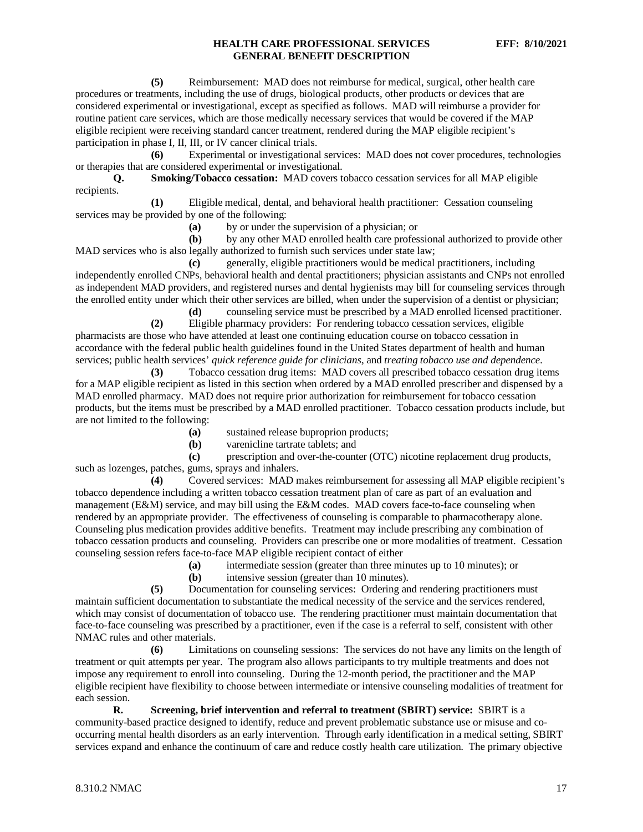**(5)** Reimbursement: MAD does not reimburse for medical, surgical, other health care procedures or treatments, including the use of drugs, biological products, other products or devices that are considered experimental or investigational, except as specified as follows. MAD will reimburse a provider for routine patient care services, which are those medically necessary services that would be covered if the MAP eligible recipient were receiving standard cancer treatment, rendered during the MAP eligible recipient's participation in phase I, II, III, or IV cancer clinical trials.

**(6)** Experimental or investigational services: MAD does not cover procedures, technologies or therapies that are considered experimental or investigational*.*

**Q. Smoking/Tobacco cessation:** MAD covers tobacco cessation services for all MAP eligible recipients.

**(1)** Eligible medical, dental, and behavioral health practitioner: Cessation counseling services may be provided by one of the following:

**(a)** by or under the supervision of a physician; or

**(b)** by any other MAD enrolled health care professional authorized to provide other MAD services who is also legally authorized to furnish such services under state law;

**(c)** generally, eligible practitioners would be medical practitioners, including independently enrolled CNPs, behavioral health and dental practitioners; physician assistants and CNPs not enrolled as independent MAD providers, and registered nurses and dental hygienists may bill for counseling services through the enrolled entity under which their other services are billed, when under the supervision of a dentist or physician;

**(d)** counseling service must be prescribed by a MAD enrolled licensed practitioner. **(2)** Eligible pharmacy providers: For rendering tobacco cessation services, eligible pharmacists are those who have attended at least one continuing education course on tobacco cessation in

accordance with the federal public health guidelines found in the United States department of health and human services; public health services' *quick reference guide for clinicians*, and *treating tobacco use and dependence*.

**(3)** Tobacco cessation drug items: MAD covers all prescribed tobacco cessation drug items for a MAP eligible recipient as listed in this section when ordered by a MAD enrolled prescriber and dispensed by a MAD enrolled pharmacy. MAD does not require prior authorization for reimbursement for tobacco cessation products, but the items must be prescribed by a MAD enrolled practitioner. Tobacco cessation products include, but are not limited to the following:

**(a)** sustained release buproprion products;<br>**(b)** varenicline tartrate tablets: and

**(b)** varenicline tartrate tablets; and

**(c)** prescription and over-the-counter (OTC) nicotine replacement drug products, such as lozenges, patches, gums, sprays and inhalers.

**(4)** Covered services: MAD makes reimbursement for assessing all MAP eligible recipient's tobacco dependence including a written tobacco cessation treatment plan of care as part of an evaluation and management (E&M) service, and may bill using the E&M codes. MAD covers face-to-face counseling when rendered by an appropriate provider. The effectiveness of counseling is comparable to pharmacotherapy alone. Counseling plus medication provides additive benefits. Treatment may include prescribing any combination of tobacco cessation products and counseling. Providers can prescribe one or more modalities of treatment. Cessation counseling session refers face-to-face MAP eligible recipient contact of either

**(a)** intermediate session (greater than three minutes up to 10 minutes); or

**(b)** intensive session (greater than 10 minutes).

**(5)** Documentation for counseling services: Ordering and rendering practitioners must maintain sufficient documentation to substantiate the medical necessity of the service and the services rendered, which may consist of documentation of tobacco use. The rendering practitioner must maintain documentation that face-to-face counseling was prescribed by a practitioner, even if the case is a referral to self, consistent with other NMAC rules and other materials.

**(6)** Limitations on counseling sessions: The services do not have any limits on the length of treatment or quit attempts per year. The program also allows participants to try multiple treatments and does not impose any requirement to enroll into counseling. During the 12-month period, the practitioner and the MAP eligible recipient have flexibility to choose between intermediate or intensive counseling modalities of treatment for each session.

**R. Screening, brief intervention and referral to treatment (SBIRT) service:** SBIRT is a community-based practice designed to identify, reduce and prevent problematic substance use or misuse and cooccurring mental health disorders as an early intervention. Through early identification in a medical setting, SBIRT services expand and enhance the continuum of care and reduce costly health care utilization. The primary objective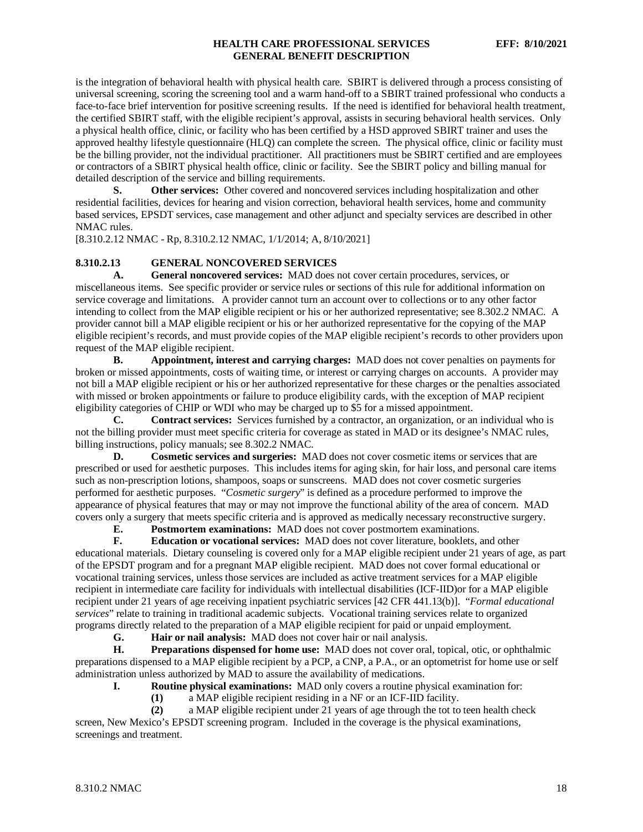is the integration of behavioral health with physical health care. SBIRT is delivered through a process consisting of universal screening, scoring the screening tool and a warm hand-off to a SBIRT trained professional who conducts a face-to-face brief intervention for positive screening results. If the need is identified for behavioral health treatment, the certified SBIRT staff, with the eligible recipient's approval, assists in securing behavioral health services. Only a physical health office, clinic, or facility who has been certified by a HSD approved SBIRT trainer and uses the approved healthy lifestyle questionnaire (HLQ) can complete the screen. The physical office, clinic or facility must be the billing provider, not the individual practitioner. All practitioners must be SBIRT certified and are employees or contractors of a SBIRT physical health office, clinic or facility. See the SBIRT policy and billing manual for detailed description of the service and billing requirements.

**S. Other services:** Other covered and noncovered services including hospitalization and other residential facilities, devices for hearing and vision correction, behavioral health services, home and community based services, EPSDT services, case management and other adjunct and specialty services are described in other NMAC rules.

[8.310.2.12 NMAC - Rp, 8.310.2.12 NMAC, 1/1/2014; A, 8/10/2021]

#### <span id="page-18-0"></span>**8.310.2.13 GENERAL NONCOVERED SERVICES**

**A. General noncovered services:** MAD does not cover certain procedures, services, or miscellaneous items. See specific provider or service rules or sections of this rule for additional information on service coverage and limitations. A provider cannot turn an account over to collections or to any other factor intending to collect from the MAP eligible recipient or his or her authorized representative; see 8.302.2 NMAC*.* A provider cannot bill a MAP eligible recipient or his or her authorized representative for the copying of the MAP eligible recipient's records, and must provide copies of the MAP eligible recipient's records to other providers upon request of the MAP eligible recipient.

**B. Appointment, interest and carrying charges:** MAD does not cover penalties on payments for broken or missed appointments, costs of waiting time, or interest or carrying charges on accounts. A provider may not bill a MAP eligible recipient or his or her authorized representative for these charges or the penalties associated with missed or broken appointments or failure to produce eligibility cards, with the exception of MAP recipient eligibility categories of CHIP or WDI who may be charged up to \$5 for a missed appointment.

**C. Contract services:** Services furnished by a contractor, an organization, or an individual who is not the billing provider must meet specific criteria for coverage as stated in MAD or its designee's NMAC rules, billing instructions, policy manuals; see 8.302.2 NMAC.

**D. Cosmetic services and surgeries:** MAD does not cover cosmetic items or services that are prescribed or used for aesthetic purposes. This includes items for aging skin, for hair loss, and personal care items such as non-prescription lotions, shampoos, soaps or sunscreens. MAD does not cover cosmetic surgeries performed for aesthetic purposes. "*Cosmetic surgery*" is defined as a procedure performed to improve the appearance of physical features that may or may not improve the functional ability of the area of concern. MAD covers only a surgery that meets specific criteria and is approved as medically necessary reconstructive surgery.

**E. Postmortem examinations:** MAD does not cover postmortem examinations.<br> **F. Education or vocational services:** MAD does not cover literature, booklets

**F. Education or vocational services:** MAD does not cover literature, booklets, and other educational materials. Dietary counseling is covered only for a MAP eligible recipient under 21 years of age, as part of the EPSDT program and for a pregnant MAP eligible recipient. MAD does not cover formal educational or vocational training services, unless those services are included as active treatment services for a MAP eligible recipient in intermediate care facility for individuals with intellectual disabilities (ICF-IID)or for a MAP eligible recipient under 21 years of age receiving inpatient psychiatric services [42 CFR 441.13(b)]. "*Formal educational services*" relate to training in traditional academic subjects. Vocational training services relate to organized programs directly related to the preparation of a MAP eligible recipient for paid or unpaid employment.

**G. Hair or nail analysis:** MAD does not cover hair or nail analysis.

**H. Preparations dispensed for home use:** MAD does not cover oral, topical, otic, or ophthalmic preparations dispensed to a MAP eligible recipient by a PCP, a CNP, a P.A., or an optometrist for home use or self administration unless authorized by MAD to assure the availability of medications.

**I. Routine physical examinations:** MAD only covers a routine physical examination for:

**(1)** a MAP eligible recipient residing in a NF or an ICF-IID facility.

**(2)** a MAP eligible recipient under 21 years of age through the tot to teen health check screen, New Mexico's EPSDT screening program. Included in the coverage is the physical examinations, screenings and treatment.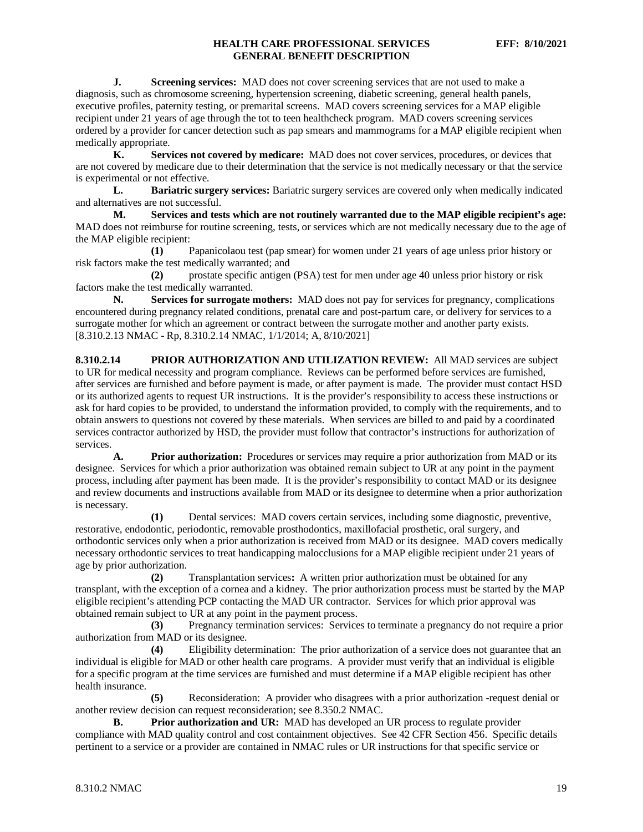**J. Screening services:** MAD does not cover screening services that are not used to make a diagnosis, such as chromosome screening, hypertension screening, diabetic screening, general health panels, executive profiles, paternity testing, or premarital screens. MAD covers screening services for a MAP eligible recipient under 21 years of age through the tot to teen healthcheck program. MAD covers screening services ordered by a provider for cancer detection such as pap smears and mammograms for a MAP eligible recipient when medically appropriate.

**K. Services not covered by medicare:** MAD does not cover services, procedures, or devices that are not covered by medicare due to their determination that the service is not medically necessary or that the service is experimental or not effective.

**L. Bariatric surgery services:** Bariatric surgery services are covered only when medically indicated and alternatives are not successful.

**M. Services and tests which are not routinely warranted due to the MAP eligible recipient's age:** MAD does not reimburse for routine screening, tests, or services which are not medically necessary due to the age of the MAP eligible recipient:

**(1)** Papanicolaou test (pap smear) for women under 21 years of age unless prior history or risk factors make the test medically warranted; and

**(2)** prostate specific antigen (PSA) test for men under age 40 unless prior history or risk factors make the test medically warranted.

**N. Services for surrogate mothers:** MAD does not pay for services for pregnancy, complications encountered during pregnancy related conditions, prenatal care and post-partum care, or delivery for services to a surrogate mother for which an agreement or contract between the surrogate mother and another party exists. [8.310.2.13 NMAC - Rp, 8.310.2.14 NMAC, 1/1/2014; A, 8/10/2021]

<span id="page-19-0"></span>**8.310.2.14 PRIOR AUTHORIZATION AND UTILIZATION REVIEW:** All MAD services are subject to UR for medical necessity and program compliance. Reviews can be performed before services are furnished, after services are furnished and before payment is made, or after payment is made. The provider must contact HSD or its authorized agents to request UR instructions. It is the provider's responsibility to access these instructions or ask for hard copies to be provided, to understand the information provided, to comply with the requirements, and to obtain answers to questions not covered by these materials. When services are billed to and paid by a coordinated services contractor authorized by HSD, the provider must follow that contractor's instructions for authorization of services.

**A. Prior authorization:** Procedures or services may require a prior authorization from MAD or its designee. Services for which a prior authorization was obtained remain subject to UR at any point in the payment process, including after payment has been made. It is the provider's responsibility to contact MAD or its designee and review documents and instructions available from MAD or its designee to determine when a prior authorization is necessary*.*

**(1)** Dental services: MAD covers certain services, including some diagnostic, preventive, restorative, endodontic, periodontic, removable prosthodontics, maxillofacial prosthetic, oral surgery, and orthodontic services only when a prior authorization is received from MAD or its designee. MAD covers medically necessary orthodontic services to treat handicapping malocclusions for a MAP eligible recipient under 21 years of age by prior authorization.

**(2)** Transplantation services**:** A written prior authorization must be obtained for any transplant, with the exception of a cornea and a kidney. The prior authorization process must be started by the MAP eligible recipient's attending PCP contacting the MAD UR contractor. Services for which prior approval was obtained remain subject to UR at any point in the payment process.

**(3)** Pregnancy termination services: Services to terminate a pregnancy do not require a prior authorization from MAD or its designee.

**(4)** Eligibility determination: The prior authorization of a service does not guarantee that an individual is eligible for MAD or other health care programs. A provider must verify that an individual is eligible for a specific program at the time services are furnished and must determine if a MAP eligible recipient has other health insurance.

**(5)** Reconsideration: A provider who disagrees with a prior authorization -request denial or another review decision can request reconsideration; see 8.350.2 NMAC*.*

**B. Prior authorization and UR:** MAD has developed an UR process to regulate provider compliance with MAD quality control and cost containment objectives. See 42 CFR Section 456. Specific details pertinent to a service or a provider are contained in NMAC rules or UR instructions for that specific service or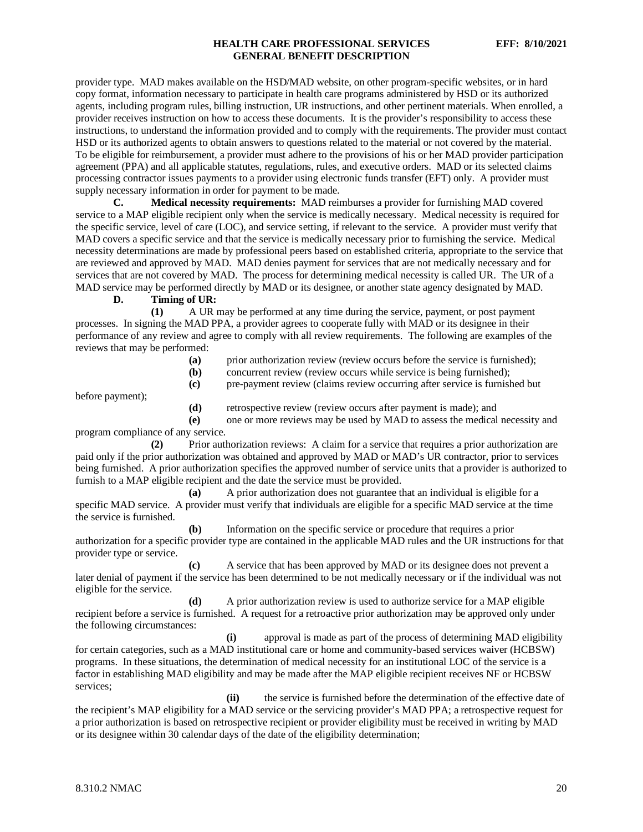provider type. MAD makes available on the HSD/MAD website, on other program-specific websites, or in hard copy format, information necessary to participate in health care programs administered by HSD or its authorized agents, including program rules, billing instruction, UR instructions, and other pertinent materials. When enrolled, a provider receives instruction on how to access these documents. It is the provider's responsibility to access these instructions, to understand the information provided and to comply with the requirements. The provider must contact HSD or its authorized agents to obtain answers to questions related to the material or not covered by the material. To be eligible for reimbursement, a provider must adhere to the provisions of his or her MAD provider participation agreement (PPA) and all applicable statutes, regulations, rules, and executive orders. MAD or its selected claims processing contractor issues payments to a provider using electronic funds transfer (EFT) only. A provider must supply necessary information in order for payment to be made.

**C. Medical necessity requirements:** MAD reimburses a provider for furnishing MAD covered service to a MAP eligible recipient only when the service is medically necessary. Medical necessity is required for the specific service, level of care (LOC), and service setting, if relevant to the service. A provider must verify that MAD covers a specific service and that the service is medically necessary prior to furnishing the service. Medical necessity determinations are made by professional peers based on established criteria, appropriate to the service that are reviewed and approved by MAD. MAD denies payment for services that are not medically necessary and for services that are not covered by MAD. The process for determining medical necessity is called UR. The UR of a MAD service may be performed directly by MAD or its designee, or another state agency designated by MAD.

**D. Timing of UR:**

**(1)** A UR may be performed at any time during the service, payment, or post payment processes. In signing the MAD PPA, a provider agrees to cooperate fully with MAD or its designee in their performance of any review and agree to comply with all review requirements. The following are examples of the reviews that may be performed:

- **(a)** prior authorization review (review occurs before the service is furnished);
- **(b)** concurrent review (review occurs while service is being furnished);
- **(c)** pre-payment review (claims review occurring after service is furnished but

before payment);

**(d)** retrospective review (review occurs after payment is made); and

**(e)** one or more reviews may be used by MAD to assess the medical necessity and program compliance of any service.

**(2)** Prior authorization reviews: A claim for a service that requires a prior authorization are paid only if the prior authorization was obtained and approved by MAD or MAD's UR contractor, prior to services being furnished. A prior authorization specifies the approved number of service units that a provider is authorized to furnish to a MAP eligible recipient and the date the service must be provided.

**(a)** A prior authorization does not guarantee that an individual is eligible for a specific MAD service. A provider must verify that individuals are eligible for a specific MAD service at the time the service is furnished.

**(b)** Information on the specific service or procedure that requires a prior authorization for a specific provider type are contained in the applicable MAD rules and the UR instructions for that provider type or service.

**(c)** A service that has been approved by MAD or its designee does not prevent a later denial of payment if the service has been determined to be not medically necessary or if the individual was not eligible for the service.

**(d)** A prior authorization review is used to authorize service for a MAP eligible recipient before a service is furnished. A request for a retroactive prior authorization may be approved only under the following circumstances:

**(i)** approval is made as part of the process of determining MAD eligibility for certain categories, such as a MAD institutional care or home and community-based services waiver (HCBSW) programs. In these situations, the determination of medical necessity for an institutional LOC of the service is a factor in establishing MAD eligibility and may be made after the MAP eligible recipient receives NF or HCBSW services;

**(ii)** the service is furnished before the determination of the effective date of the recipient's MAP eligibility for a MAD service or the servicing provider's MAD PPA; a retrospective request for a prior authorization is based on retrospective recipient or provider eligibility must be received in writing by MAD or its designee within 30 calendar days of the date of the eligibility determination;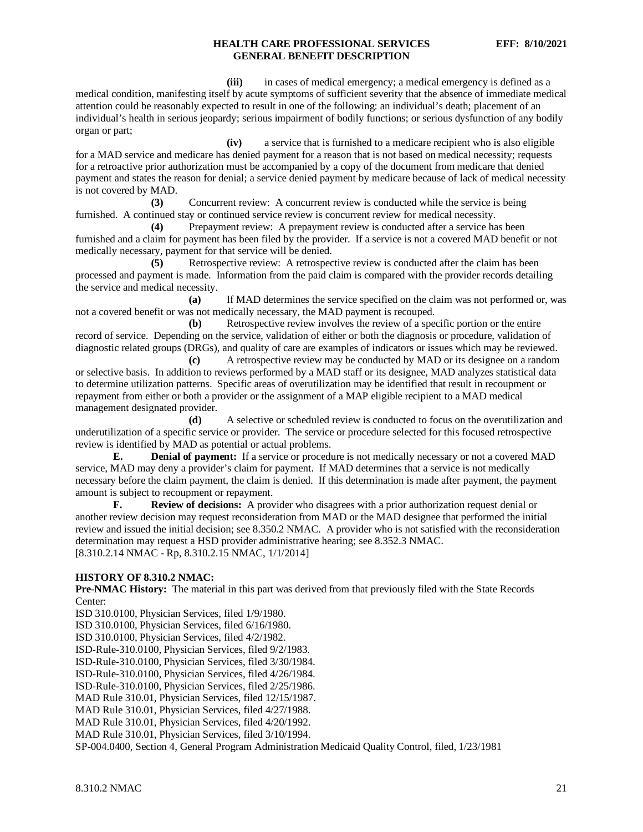**(iii)** in cases of medical emergency; a medical emergency is defined as a medical condition, manifesting itself by acute symptoms of sufficient severity that the absence of immediate medical attention could be reasonably expected to result in one of the following: an individual's death; placement of an individual's health in serious jeopardy; serious impairment of bodily functions; or serious dysfunction of any bodily organ or part;

**(iv)** a service that is furnished to a medicare recipient who is also eligible for a MAD service and medicare has denied payment for a reason that is not based on medical necessity; requests for a retroactive prior authorization must be accompanied by a copy of the document from medicare that denied payment and states the reason for denial; a service denied payment by medicare because of lack of medical necessity is not covered by MAD.

**(3)** Concurrent review: A concurrent review is conducted while the service is being furnished. A continued stay or continued service review is concurrent review for medical necessity.

**(4)** Prepayment review: A prepayment review is conducted after a service has been furnished and a claim for payment has been filed by the provider. If a service is not a covered MAD benefit or not medically necessary, payment for that service will be denied.

**(5)** Retrospective review: A retrospective review is conducted after the claim has been processed and payment is made. Information from the paid claim is compared with the provider records detailing the service and medical necessity.

**(a)** If MAD determines the service specified on the claim was not performed or, was not a covered benefit or was not medically necessary, the MAD payment is recouped.

**(b)** Retrospective review involves the review of a specific portion or the entire record of service. Depending on the service, validation of either or both the diagnosis or procedure, validation of diagnostic related groups (DRGs), and quality of care are examples of indicators or issues which may be reviewed.

**(c)** A retrospective review may be conducted by MAD or its designee on a random or selective basis. In addition to reviews performed by a MAD staff or its designee, MAD analyzes statistical data to determine utilization patterns. Specific areas of overutilization may be identified that result in recoupment or repayment from either or both a provider or the assignment of a MAP eligible recipient to a MAD medical management designated provider.

**(d)** A selective or scheduled review is conducted to focus on the overutilization and underutilization of a specific service or provider. The service or procedure selected for this focused retrospective review is identified by MAD as potential or actual problems.

**E. Denial of payment:** If a service or procedure is not medically necessary or not a covered MAD service, MAD may deny a provider's claim for payment. If MAD determines that a service is not medically necessary before the claim payment, the claim is denied. If this determination is made after payment, the payment amount is subject to recoupment or repayment.

**F. Review of decisions:** A provider who disagrees with a prior authorization request denial or another review decision may request reconsideration from MAD or the MAD designee that performed the initial review and issued the initial decision; see 8.350.2 NMAC. A provider who is not satisfied with the reconsideration determination may request a HSD provider administrative hearing; see 8.352.3 NMAC. [8.310.2.14 NMAC - Rp, 8.310.2.15 NMAC, 1/1/2014]

### **HISTORY OF 8.310.2 NMAC:**

**Pre-NMAC History:** The material in this part was derived from that previously filed with the State Records Center:

ISD 310.0100, Physician Services, filed 1/9/1980.

ISD 310.0100, Physician Services, filed 6/16/1980.

ISD 310.0100, Physician Services, filed 4/2/1982.

ISD-Rule-310.0100, Physician Services, filed 9/2/1983.

ISD-Rule-310.0100, Physician Services, filed 3/30/1984.

ISD-Rule-310.0100, Physician Services, filed 4/26/1984.

ISD-Rule-310.0100, Physician Services, filed 2/25/1986.

MAD Rule 310.01, Physician Services, filed 12/15/1987.

MAD Rule 310.01, Physician Services, filed 4/27/1988.

MAD Rule 310.01, Physician Services, filed 4/20/1992.

MAD Rule 310.01, Physician Services, filed 3/10/1994.

SP-004.0400, Section 4, General Program Administration Medicaid Quality Control, filed, 1/23/1981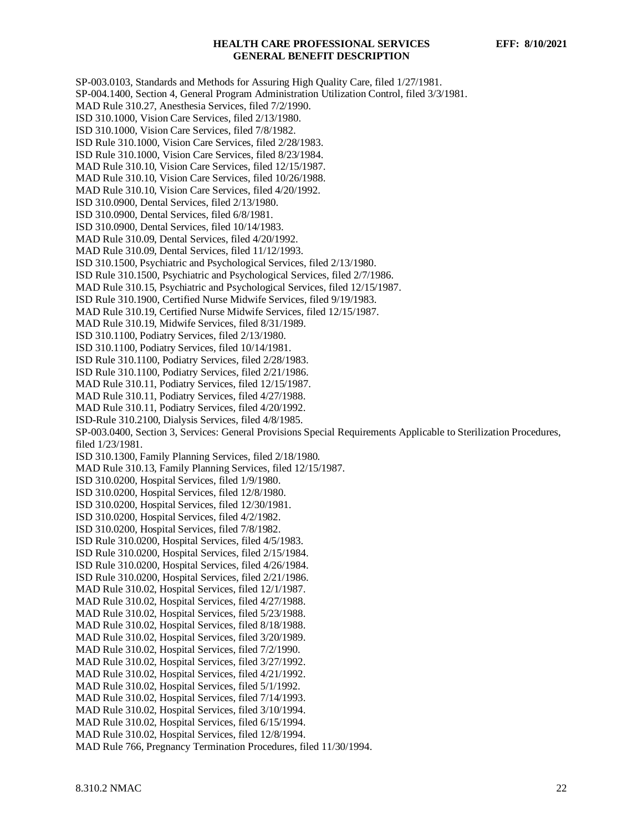SP-003.0103, Standards and Methods for Assuring High Quality Care, filed 1/27/1981. SP-004.1400, Section 4, General Program Administration Utilization Control, filed 3/3/1981. MAD Rule 310.27, Anesthesia Services, filed 7/2/1990. ISD 310.1000, Vision Care Services, filed 2/13/1980. ISD 310.1000, Vision Care Services, filed 7/8/1982. ISD Rule 310.1000, Vision Care Services, filed 2/28/1983. ISD Rule 310.1000, Vision Care Services, filed 8/23/1984. MAD Rule 310.10, Vision Care Services, filed 12/15/1987. MAD Rule 310.10, Vision Care Services, filed 10/26/1988. MAD Rule 310.10, Vision Care Services, filed 4/20/1992. ISD 310.0900, Dental Services, filed 2/13/1980. ISD 310.0900, Dental Services, filed 6/8/1981. ISD 310.0900, Dental Services, filed 10/14/1983. MAD Rule 310.09, Dental Services, filed 4/20/1992. MAD Rule 310.09, Dental Services, filed 11/12/1993. ISD 310.1500, Psychiatric and Psychological Services, filed 2/13/1980. ISD Rule 310.1500, Psychiatric and Psychological Services, filed 2/7/1986. MAD Rule 310.15, Psychiatric and Psychological Services, filed 12/15/1987. ISD Rule 310.1900, Certified Nurse Midwife Services, filed 9/19/1983. MAD Rule 310.19, Certified Nurse Midwife Services, filed 12/15/1987. MAD Rule 310.19, Midwife Services, filed 8/31/1989. ISD 310.1100, Podiatry Services, filed 2/13/1980. ISD 310.1100, Podiatry Services, filed 10/14/1981. ISD Rule 310.1100, Podiatry Services, filed 2/28/1983. ISD Rule 310.1100, Podiatry Services, filed 2/21/1986. MAD Rule 310.11, Podiatry Services, filed 12/15/1987. MAD Rule 310.11, Podiatry Services, filed 4/27/1988. MAD Rule 310.11, Podiatry Services, filed 4/20/1992. ISD-Rule 310.2100, Dialysis Services, filed 4/8/1985. SP-003.0400, Section 3, Services: General Provisions Special Requirements Applicable to Sterilization Procedures, filed 1/23/1981. ISD 310.1300, Family Planning Services, filed 2/18/1980. MAD Rule 310.13, Family Planning Services, filed 12/15/1987. ISD 310.0200, Hospital Services, filed 1/9/1980. ISD 310.0200, Hospital Services, filed 12/8/1980. ISD 310.0200, Hospital Services, filed 12/30/1981. ISD 310.0200, Hospital Services, filed 4/2/1982. ISD 310.0200, Hospital Services, filed 7/8/1982. ISD Rule 310.0200, Hospital Services, filed 4/5/1983. ISD Rule 310.0200, Hospital Services, filed 2/15/1984. ISD Rule 310.0200, Hospital Services, filed 4/26/1984. ISD Rule 310.0200, Hospital Services, filed 2/21/1986. MAD Rule 310.02, Hospital Services, filed 12/1/1987. MAD Rule 310.02, Hospital Services, filed 4/27/1988. MAD Rule 310.02, Hospital Services, filed 5/23/1988. MAD Rule 310.02, Hospital Services, filed 8/18/1988. MAD Rule 310.02, Hospital Services, filed 3/20/1989. MAD Rule 310.02, Hospital Services, filed 7/2/1990. MAD Rule 310.02, Hospital Services, filed 3/27/1992. MAD Rule 310.02, Hospital Services, filed 4/21/1992. MAD Rule 310.02, Hospital Services, filed 5/1/1992. MAD Rule 310.02, Hospital Services, filed 7/14/1993. MAD Rule 310.02, Hospital Services, filed 3/10/1994. MAD Rule 310.02, Hospital Services, filed 6/15/1994. MAD Rule 310.02, Hospital Services, filed 12/8/1994. MAD Rule 766, Pregnancy Termination Procedures, filed 11/30/1994.